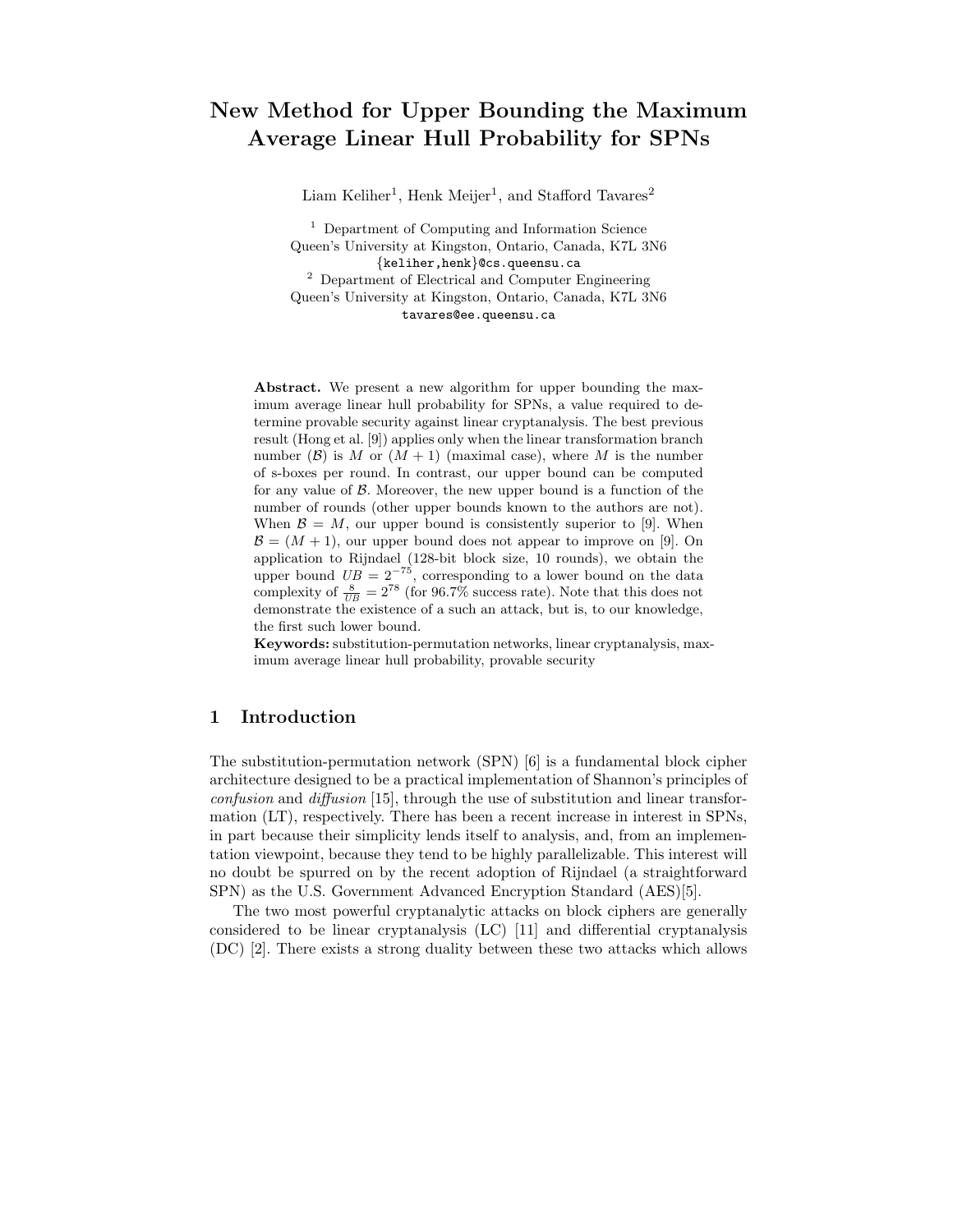# New Method for Upper Bounding the Maximum Average Linear Hull Probability for SPNs

Liam Keliher<sup>1</sup>, Henk Meijer<sup>1</sup>, and Stafford Tavares<sup>2</sup>

<sup>1</sup> Department of Computing and Information Science Queen's University at Kingston, Ontario, Canada, K7L 3N6 {keliher,henk}@cs.queensu.ca <sup>2</sup> Department of Electrical and Computer Engineering Queen's University at Kingston, Ontario, Canada, K7L 3N6 tavares@ee.queensu.ca

Abstract. We present a new algorithm for upper bounding the maximum average linear hull probability for SPNs, a value required to determine provable security against linear cryptanalysis. The best previous result (Hong et al. [9]) applies only when the linear transformation branch number ( $\beta$ ) is M or  $(M + 1)$  (maximal case), where M is the number of s-boxes per round. In contrast, our upper bound can be computed for any value of  $\beta$ . Moreover, the new upper bound is a function of the number of rounds (other upper bounds known to the authors are not). When  $\mathcal{B} = M$ , our upper bound is consistently superior to [9]. When  $\mathcal{B} = (M + 1)$ , our upper bound does not appear to improve on [9]. On application to Rijndael (128-bit block size, 10 rounds), we obtain the upper bound  $UB = 2^{-75}$ , corresponding to a lower bound on the data complexity of  $\frac{8}{UB} = 2^{78}$  (for 96.7% success rate). Note that this does not demonstrate the existence of a such an attack, but is, to our knowledge, the first such lower bound.

Keywords: substitution-permutation networks, linear cryptanalysis, maximum average linear hull probability, provable security

# 1 Introduction

The substitution-permutation network (SPN) [6] is a fundamental block cipher architecture designed to be a practical implementation of Shannon's principles of confusion and diffusion [15], through the use of substitution and linear transformation (LT), respectively. There has been a recent increase in interest in SPNs, in part because their simplicity lends itself to analysis, and, from an implementation viewpoint, because they tend to be highly parallelizable. This interest will no doubt be spurred on by the recent adoption of Rijndael (a straightforward SPN) as the U.S. Government Advanced Encryption Standard (AES)[5].

The two most powerful cryptanalytic attacks on block ciphers are generally considered to be linear cryptanalysis (LC) [11] and differential cryptanalysis (DC) [2]. There exists a strong duality between these two attacks which allows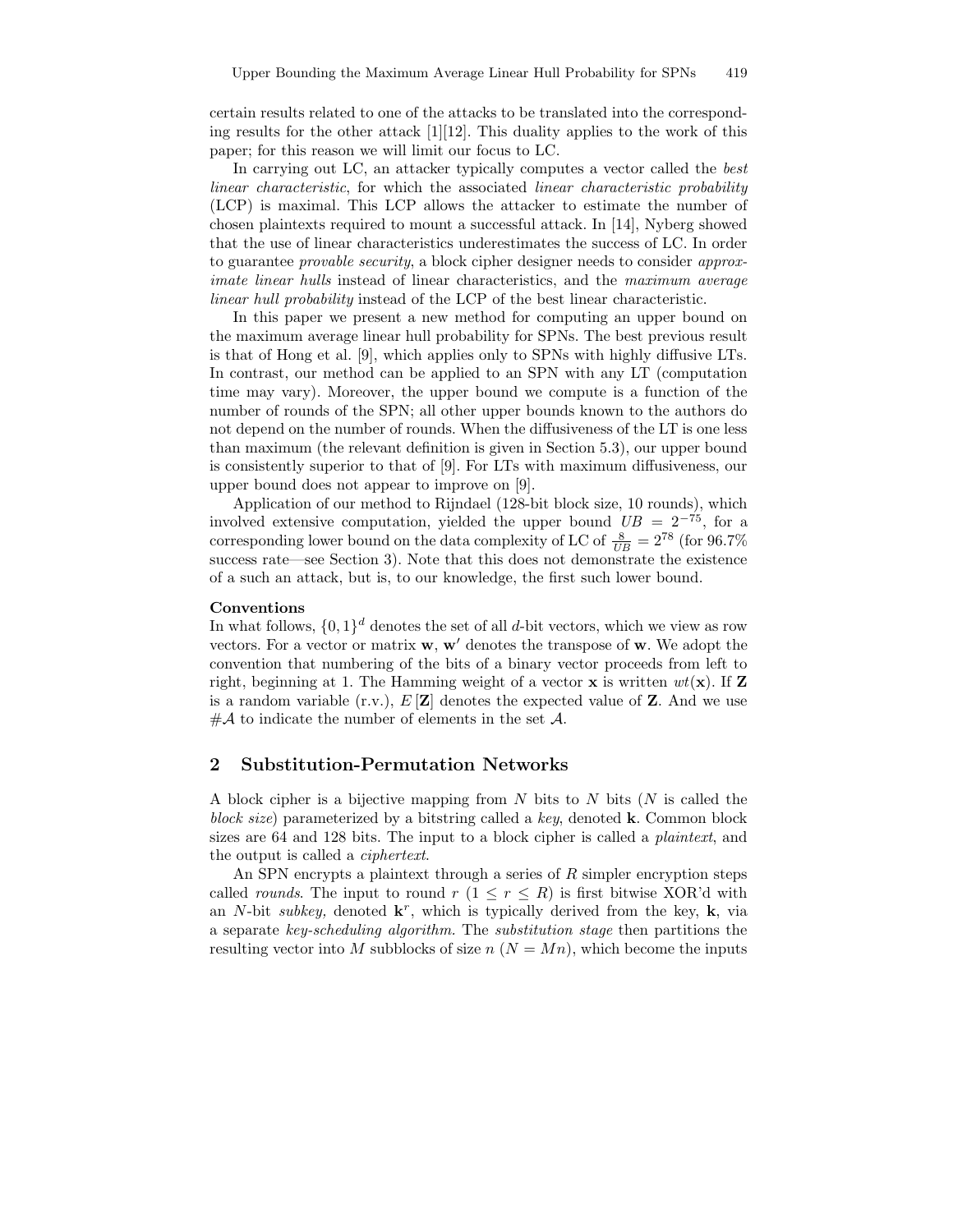certain results related to one of the attacks to be translated into the corresponding results for the other attack  $[1][12]$ . This duality applies to the work of this paper; for this reason we will limit our focus to LC.

In carrying out LC, an attacker typically computes a vector called the best linear characteristic, for which the associated linear characteristic probability (LCP) is maximal. This LCP allows the attacker to estimate the number of chosen plaintexts required to mount a successful attack. In [14], Nyberg showed that the use of linear characteristics underestimates the success of LC. In order to guarantee provable security, a block cipher designer needs to consider approximate linear hulls instead of linear characteristics, and the maximum average linear hull probability instead of the LCP of the best linear characteristic.

In this paper we present a new method for computing an upper bound on the maximum average linear hull probability for SPNs. The best previous result is that of Hong et al. [9], which applies only to SPNs with highly diffusive LTs. In contrast, our method can be applied to an SPN with any LT (computation time may vary). Moreover, the upper bound we compute is a function of the number of rounds of the SPN; all other upper bounds known to the authors do not depend on the number of rounds. When the diffusiveness of the LT is one less than maximum (the relevant definition is given in Section 5.3), our upper bound is consistently superior to that of [9]. For LTs with maximum diffusiveness, our upper bound does not appear to improve on [9].

Application of our method to Rijndael (128-bit block size, 10 rounds), which involved extensive computation, yielded the upper bound  $UB = 2^{-75}$ , for a corresponding lower bound on the data complexity of LC of  $\frac{8}{UB} = 2^{78}$  (for 96.7%) success rate—see Section 3). Note that this does not demonstrate the existence of a such an attack, but is, to our knowledge, the first such lower bound.

#### Conventions

In what follows,  $\{0,1\}^d$  denotes the set of all d-bit vectors, which we view as row vectors. For a vector or matrix  $w, w'$  denotes the transpose of  $w$ . We adopt the convention that numbering of the bits of a binary vector proceeds from left to right, beginning at 1. The Hamming weight of a vector **x** is written  $wt(\mathbf{x})$ . If **Z** is a random variable (r.v.),  $E[\mathbf{Z}]$  denotes the expected value of **Z**. And we use  $#A$  to indicate the number of elements in the set A.

# 2 Substitution-Permutation Networks

A block cipher is a bijective mapping from N bits to N bits  $(N$  is called the block size) parameterized by a bitstring called a key, denoted  $\bf{k}$ . Common block sizes are 64 and 128 bits. The input to a block cipher is called a plaintext, and the output is called a ciphertext.

An SPN encrypts a plaintext through a series of  $R$  simpler encryption steps called *rounds*. The input to round  $r (1 \leq r \leq R)$  is first bitwise XOR'd with an N-bit subkey, denoted  $\mathbf{k}^r$ , which is typically derived from the key,  $\mathbf{k}$ , via a separate key-scheduling algorithm. The substitution stage then partitions the resulting vector into M subblocks of size  $n (N = Mn)$ , which become the inputs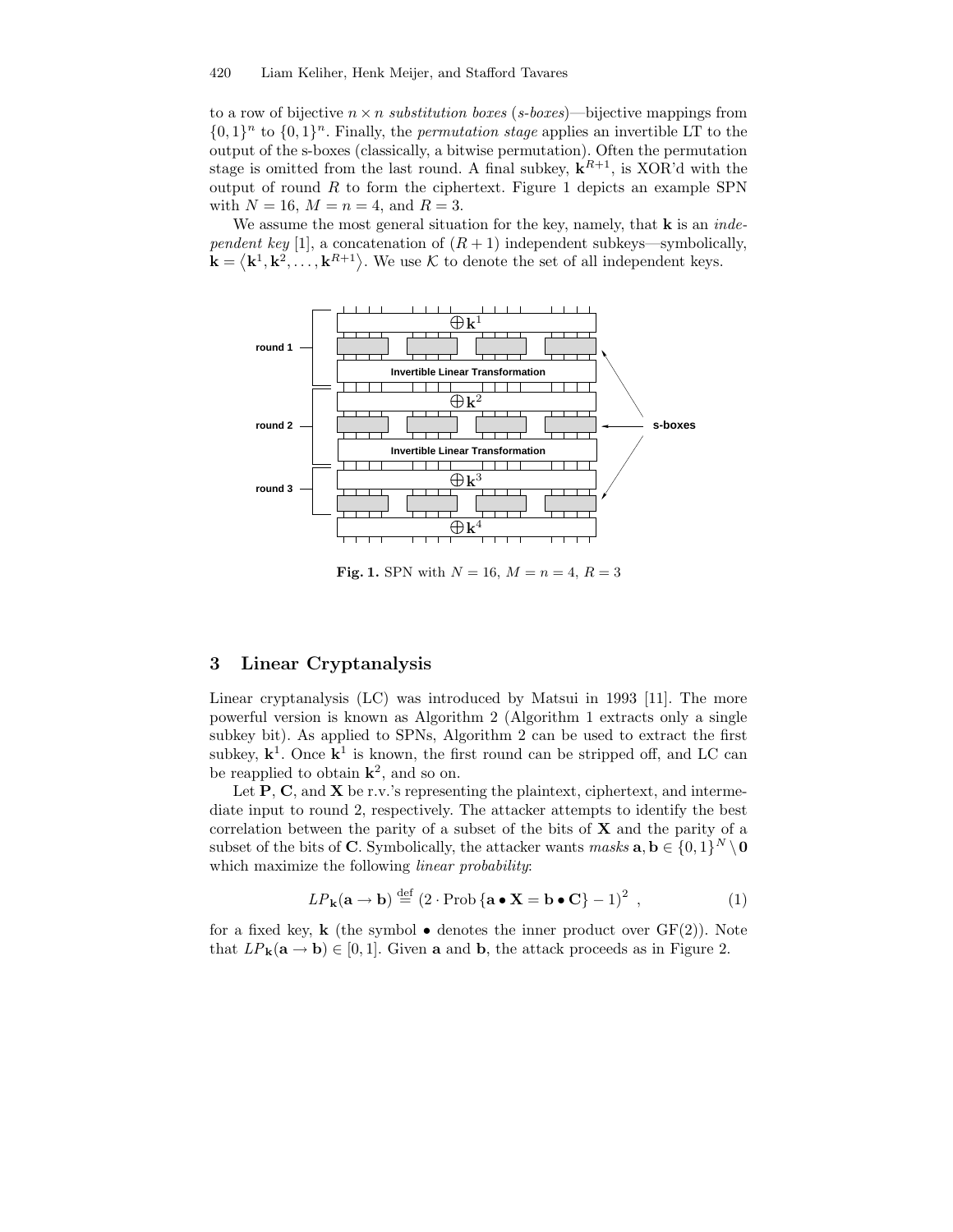to a row of bijective  $n \times n$  substitution boxes (s-boxes)—bijective mappings from  $\{0,1\}^n$  to  $\{0,1\}^n$ . Finally, the *permutation stage* applies an invertible LT to the output of the s-boxes (classically, a bitwise permutation). Often the permutation stage is omitted from the last round. A final subkey,  $\mathbf{k}^{R+1}$ , is XOR'd with the output of round  $R$  to form the ciphertext. Figure 1 depicts an example SPN with  $N = 16$ ,  $M = n = 4$ , and  $R = 3$ .

We assume the most general situation for the key, namely, that  $\bf{k}$  is an *inde*pendent key [1], a concatenation of  $(R + 1)$  independent subkeys—symbolically,  $\mathbf{k} = \langle \mathbf{k}^1, \mathbf{k}^2, \ldots, \mathbf{k}^{R+1} \rangle$ . We use K to denote the set of all independent keys.



**Fig. 1.** SPN with  $N = 16$ ,  $M = n = 4$ ,  $R = 3$ 

# 3 Linear Cryptanalysis

Linear cryptanalysis (LC) was introduced by Matsui in 1993 [11]. The more powerful version is known as Algorithm 2 (Algorithm 1 extracts only a single subkey bit). As applied to SPNs, Algorithm 2 can be used to extract the first subkey,  $k^1$ . Once  $k^1$  is known, the first round can be stripped off, and LC can be reapplied to obtain  $\mathbf{k}^2$ , and so on.

Let  $P$ , C, and X be r.v.'s representing the plaintext, ciphertext, and intermediate input to round 2, respectively. The attacker attempts to identify the best correlation between the parity of a subset of the bits of  $X$  and the parity of a subset of the bits of C. Symbolically, the attacker wants  $\textit{masks} \textbf{ a}, \textbf{b} \in \{0,1\}^N \setminus \textbf{0}$ which maximize the following *linear probability*:

$$
LP_{\mathbf{k}}(\mathbf{a} \to \mathbf{b}) \stackrel{\text{def}}{=} (2 \cdot \text{Prob} \{ \mathbf{a} \bullet \mathbf{X} = \mathbf{b} \bullet \mathbf{C} \} - 1)^2 , \qquad (1)
$$

for a fixed key, **k** (the symbol  $\bullet$  denotes the inner product over  $GF(2)$ ). Note that  $LP_{\mathbf{k}}(\mathbf{a} \to \mathbf{b}) \in [0,1]$ . Given **a** and **b**, the attack proceeds as in Figure 2.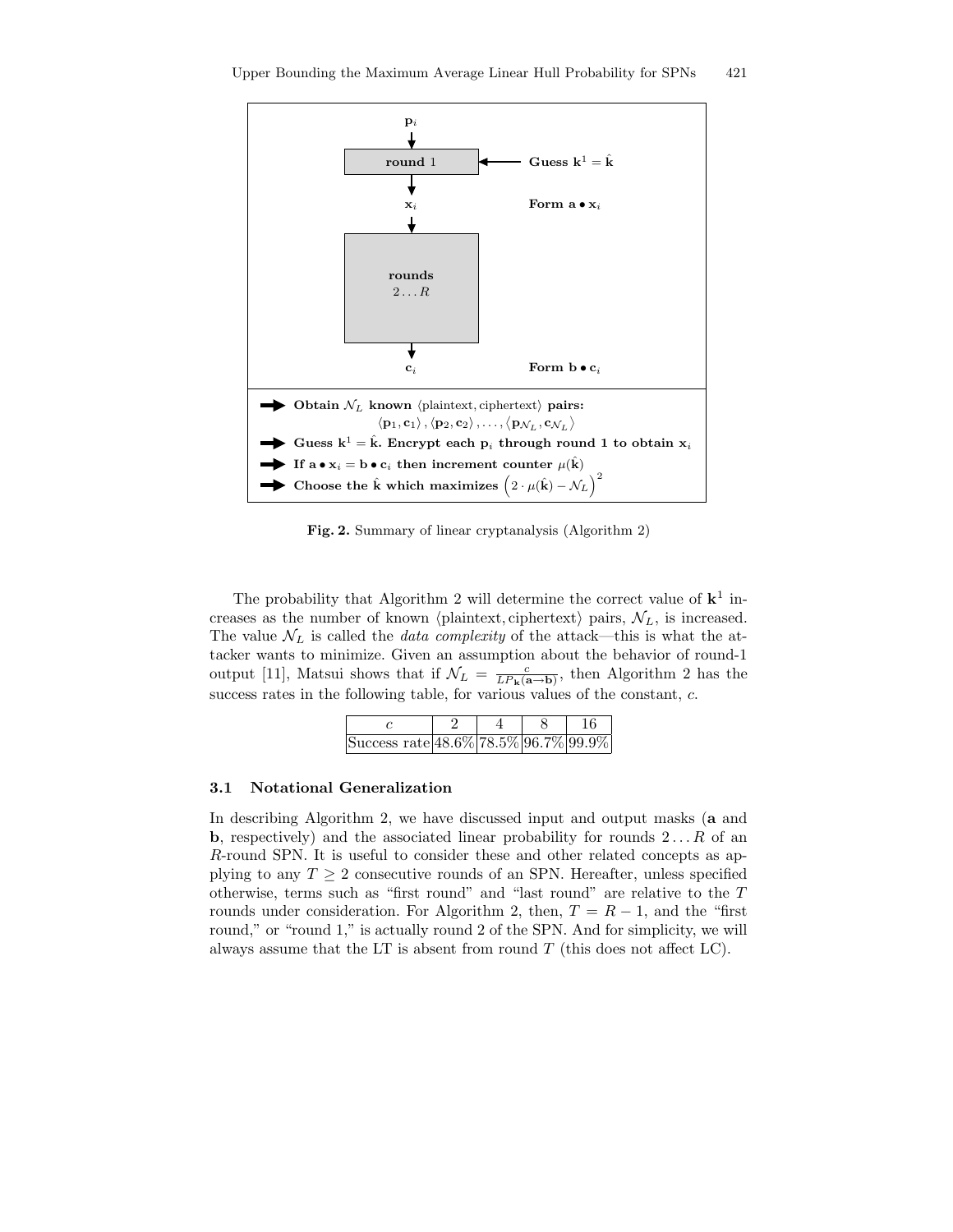

Fig. 2. Summary of linear cryptanalysis (Algorithm 2)

The probability that Algorithm 2 will determine the correct value of  $k^1$  increases as the number of known (plaintext, ciphertext) pairs,  $\mathcal{N}_L$ , is increased. The value  $\mathcal{N}_L$  is called the *data complexity* of the attack—this is what the attacker wants to minimize. Given an assumption about the behavior of round-1 output [11], Matsui shows that if  $\mathcal{N}_L = \frac{c}{L P_{\mathbf{k}}(\mathbf{a} \to \mathbf{b})}$ , then Algorithm 2 has the success rates in the following table, for various values of the constant, c.

| Success rate 48.6% 78.5% 96.7% 99.9% |  |  |
|--------------------------------------|--|--|

#### 3.1 Notational Generalization

In describing Algorithm 2, we have discussed input and output masks (a and **b**, respectively) and the associated linear probability for rounds  $2 \dots R$  of an R-round SPN. It is useful to consider these and other related concepts as applying to any  $T \geq 2$  consecutive rounds of an SPN. Hereafter, unless specified otherwise, terms such as "first round" and "last round" are relative to the T rounds under consideration. For Algorithm 2, then,  $T = R - 1$ , and the "first round," or "round 1," is actually round 2 of the SPN. And for simplicity, we will always assume that the LT is absent from round  $T$  (this does not affect LC).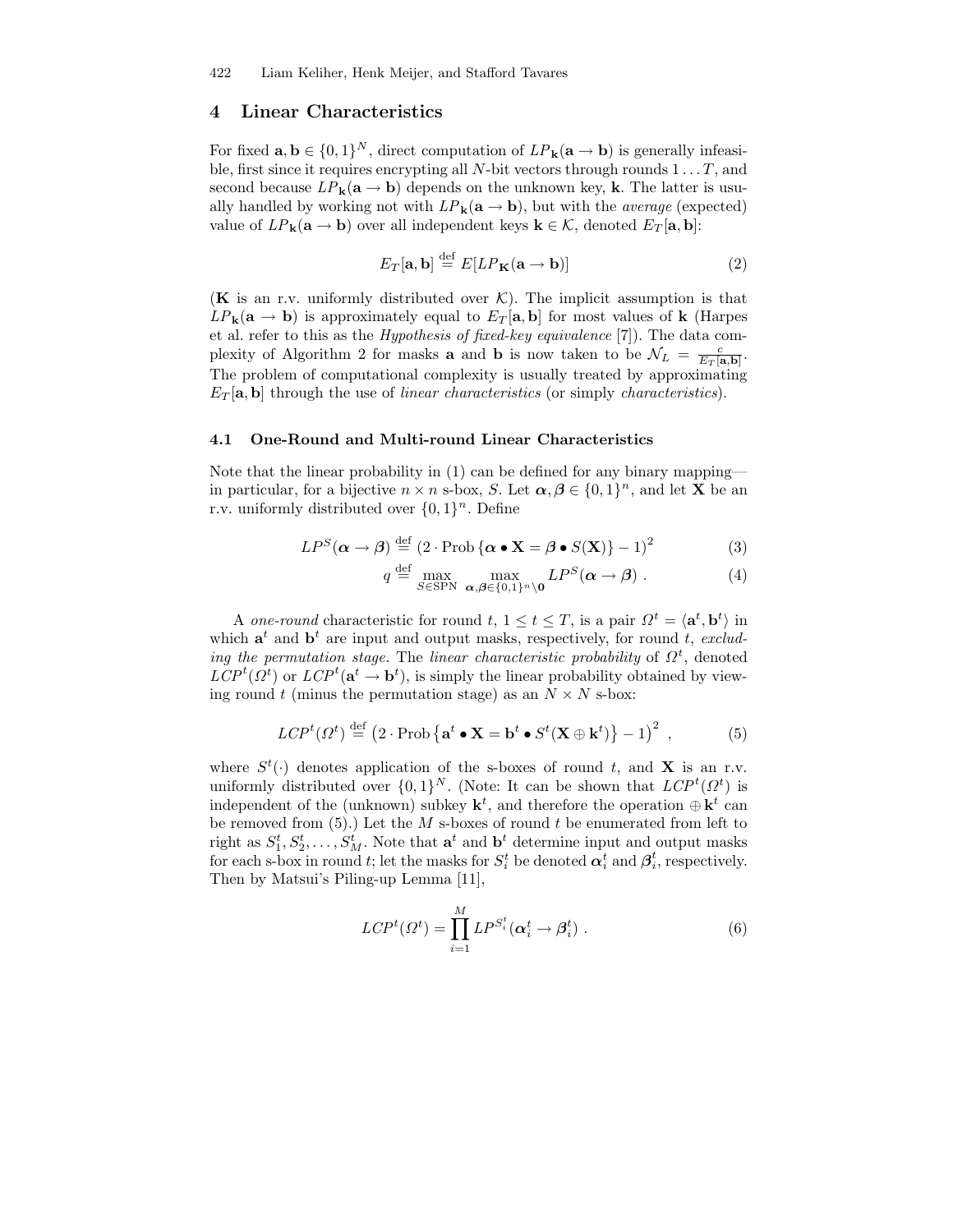### 4 Linear Characteristics

For fixed  $\mathbf{a}, \mathbf{b} \in \{0,1\}^N$ , direct computation of  $LP_{\mathbf{k}}(\mathbf{a} \to \mathbf{b})$  is generally infeasible, first since it requires encrypting all N-bit vectors through rounds  $1 \dots T$ , and second because  $LP_{\mathbf{k}}(\mathbf{a} \to \mathbf{b})$  depends on the unknown key, **k**. The latter is usually handled by working not with  $LP_k(a \rightarrow b)$ , but with the *average* (expected) value of  $LP_{\mathbf{k}}(\mathbf{a} \to \mathbf{b})$  over all independent keys  $\mathbf{k} \in \mathcal{K}$ , denoted  $E_T[\mathbf{a}, \mathbf{b}]$ :

$$
E_T[\mathbf{a}, \mathbf{b}] \stackrel{\text{def}}{=} E[LP_\mathbf{K}(\mathbf{a} \to \mathbf{b})] \tag{2}
$$

(K is an r.v. uniformly distributed over  $\mathcal{K}$ ). The implicit assumption is that  $LP_{\mathbf{k}}(\mathbf{a} \to \mathbf{b})$  is approximately equal to  $E_T[\mathbf{a}, \mathbf{b}]$  for most values of  $\mathbf{k}$  (Harpes et al. refer to this as the Hypothesis of fixed-key equivalence [7]). The data complexity of Algorithm 2 for masks **a** and **b** is now taken to be  $\mathcal{N}_L = \frac{c}{E_T[\mathbf{a},\mathbf{b}]}$ . The problem of computational complexity is usually treated by approximating  $E_T[\mathbf{a}, \mathbf{b}]$  through the use of linear characteristics (or simply characteristics).

#### 4.1 One-Round and Multi-round Linear Characteristics

Note that the linear probability in (1) can be defined for any binary mapping in particular, for a bijective  $n \times n$  s-box, S. Let  $\alpha, \beta \in \{0,1\}^n$ , and let **X** be an r.v. uniformly distributed over  $\{0,1\}^n$ . Define

$$
LP^{S}(\boldsymbol{\alpha} \to \boldsymbol{\beta}) \stackrel{\text{def}}{=} (2 \cdot \text{Prob}\left\{\boldsymbol{\alpha} \bullet \mathbf{X} = \boldsymbol{\beta} \bullet S(\mathbf{X})\right\} - 1)^{2}
$$
(3)

$$
q \stackrel{\text{def}}{=} \max_{S \in \text{SPN}} \max_{\mathbf{\alpha}, \mathbf{\beta} \in \{0, 1\}^n \setminus \mathbf{0}} LP^S(\mathbf{\alpha} \to \mathbf{\beta}) . \tag{4}
$$

A one-round characteristic for round  $t, 1 \le t \le T$ , is a pair  $\Omega^t = \langle \mathbf{a}^t, \mathbf{b}^t \rangle$  in which  $\mathbf{a}^t$  and  $\mathbf{b}^t$  are input and output masks, respectively, for round t, excluding the permutation stage. The linear characteristic probability of  $\Omega^t$ , denoted  $LCP^{t}(\Omega^{t})$  or  $LCP^{t}(\mathbf{a}^{t} \to \mathbf{b}^{t}),$  is simply the linear probability obtained by viewing round t (minus the permutation stage) as an  $N \times N$  s-box:

$$
LCP^{t}(\Omega^{t}) \stackrel{\text{def}}{=} (2 \cdot \text{Prob}\left\{ \mathbf{a}^{t} \bullet \mathbf{X} = \mathbf{b}^{t} \bullet S^{t}(\mathbf{X} \oplus \mathbf{k}^{t}) \right\} - 1)^{2}, \qquad (5)
$$

where  $S^t(\cdot)$  denotes application of the s-boxes of round t, and **X** is an r.v. uniformly distributed over  $\{0,1\}^N$ . (Note: It can be shown that  $LCP^t(\Omega^t)$  is independent of the (unknown) subkey  $\mathbf{k}^t$ , and therefore the operation  $\oplus \mathbf{k}^t$  can be removed from  $(5)$ .) Let the  $M$  s-boxes of round  $t$  be enumerated from left to right as  $S_1^t, S_2^t, \ldots, S_M^t$ . Note that  $\mathbf{a}^t$  and  $\mathbf{b}^t$  determine input and output masks for each s-box in round t; let the masks for  $S_i^t$  be denoted  $\alpha_i^t$  and  $\beta_i^t$ , respectively. Then by Matsui's Piling-up Lemma [11],

$$
LCP^{t}(\Omega^{t}) = \prod_{i=1}^{M} LP^{S_{i}^{t}}(\boldsymbol{\alpha}_{i}^{t} \rightarrow \boldsymbol{\beta}_{i}^{t}).
$$
\n(6)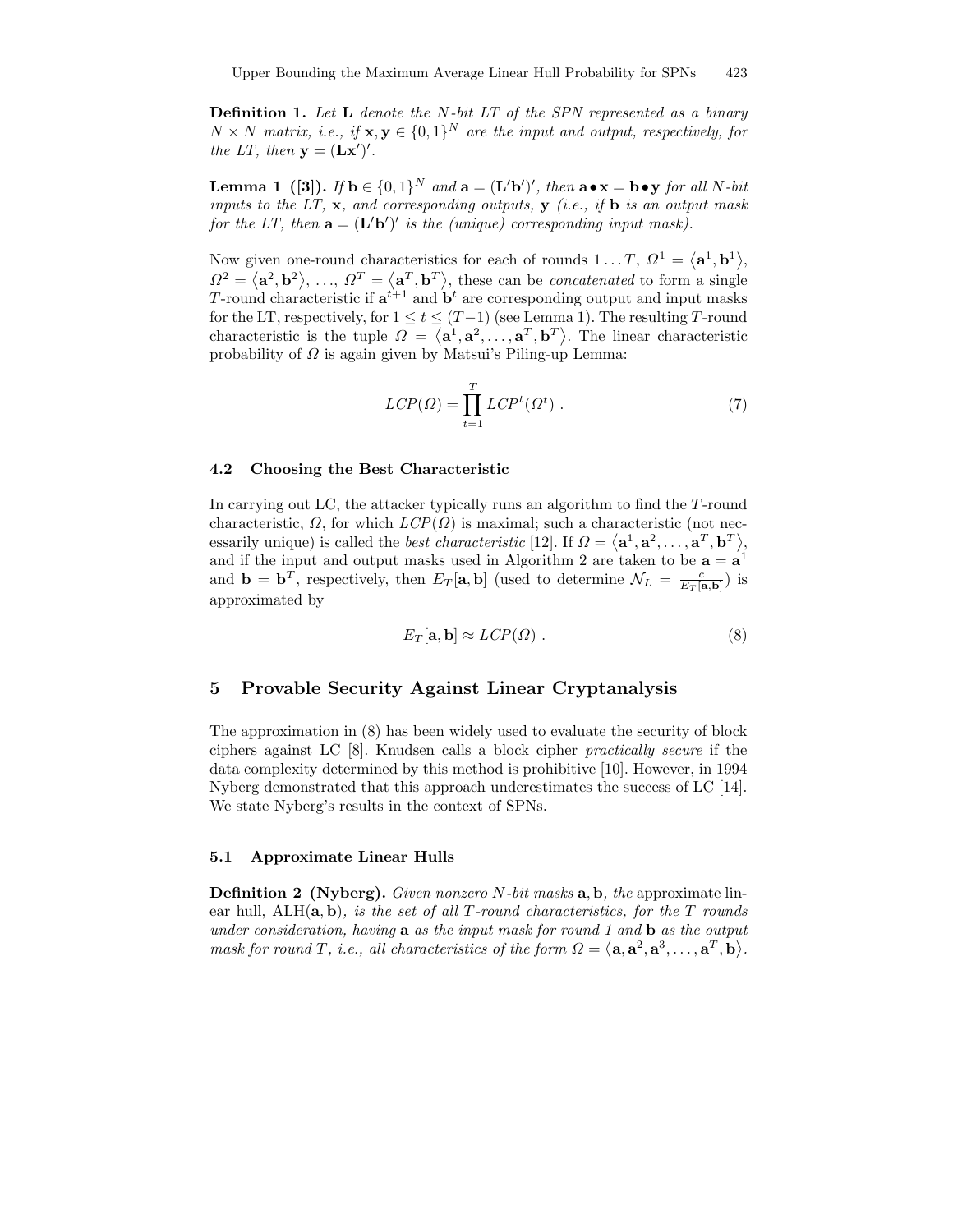**Definition 1.** Let  $L$  denote the N-bit LT of the SPN represented as a binary  $N \times N$  matrix, i.e., if  $\mathbf{x}, \mathbf{y} \in \{0,1\}^N$  are the input and output, respectively, for the LT, then  $\mathbf{y} = (\mathbf{L}\mathbf{x}')'.$ 

**Lemma 1** ([3]). If  $\mathbf{b} \in \{0,1\}^N$  and  $\mathbf{a} = (\mathbf{L}'\mathbf{b}')'$ , then  $\mathbf{a} \bullet \mathbf{x} = \mathbf{b} \bullet \mathbf{y}$  for all N-bit inputs to the LT,  $\mathbf{x}$ , and corresponding outputs,  $\mathbf{y}$  (i.e., if  $\mathbf{b}$  is an output mask for the LT, then  $\mathbf{a} = (\mathbf{L}'\mathbf{b}')'$  is the (unique) corresponding input mask).

Now given one-round characteristics for each of rounds  $1...T, \Omega^1 = \langle \mathbf{a}^1, \mathbf{b}^1 \rangle$ ,  $\Omega^2 = \langle \mathbf{a}^2, \mathbf{b}^2 \rangle, \ldots, \Omega^T = \langle \mathbf{a}^T, \mathbf{b}^T \rangle$ , these can be *concatenated* to form a single T-round characteristic if  $\mathbf{a}^{t+1}$  and  $\mathbf{b}^t$  are corresponding output and input masks for the LT, respectively, for  $1 \le t \le (T-1)$  (see Lemma 1). The resulting T-round characteristic is the tuple  $\Omega = \langle \mathbf{a}^1, \mathbf{a}^2, \dots, \mathbf{a}^T, \mathbf{b}^T \rangle$ . The linear characteristic probability of  $\Omega$  is again given by Matsui's Piling-up Lemma:

$$
LCP(\Omega) = \prod_{t=1}^{T} LCP^{t}(\Omega^{t}).
$$
\n(7)

#### 4.2 Choosing the Best Characteristic

In carrying out LC, the attacker typically runs an algorithm to find the T-round characteristic,  $\Omega$ , for which  $LCP(\Omega)$  is maximal; such a characteristic (not necessarily unique) is called the *best characteristic* [12]. If  $\Omega = \langle \mathbf{a}^1, \mathbf{a}^2, \dots, \mathbf{a}^T, \mathbf{b}^T \rangle$ , and if the input and output masks used in Algorithm 2 are taken to be  $\mathbf{a} = \mathbf{a}^1$ and  $\mathbf{b} = \mathbf{b}^T$ , respectively, then  $E_T[\mathbf{a}, \mathbf{b}]$  (used to determine  $\mathcal{N}_L = \frac{c}{E_T[\mathbf{a}, \mathbf{b}]})$  is approximated by

$$
E_T[\mathbf{a}, \mathbf{b}] \approx LCP(\Omega) . \tag{8}
$$

### 5 Provable Security Against Linear Cryptanalysis

The approximation in (8) has been widely used to evaluate the security of block ciphers against LC [8]. Knudsen calls a block cipher practically secure if the data complexity determined by this method is prohibitive [10]. However, in 1994 Nyberg demonstrated that this approach underestimates the success of LC [14]. We state Nyberg's results in the context of SPNs.

#### 5.1 Approximate Linear Hulls

**Definition 2** (Nyberg). Given nonzero N-bit masks  $a, b$ , the approximate linear hull,  $A L H(a, b)$ , is the set of all T-round characteristics, for the T rounds under consideration, having  $\mathbf a$  as the input mask for round 1 and  $\mathbf b$  as the output mask for round T, i.e., all characteristics of the form  $\Omega = \langle \mathbf{a}, \mathbf{a}^2, \mathbf{a}^3, \ldots, \mathbf{a}^T, \mathbf{b} \rangle$ .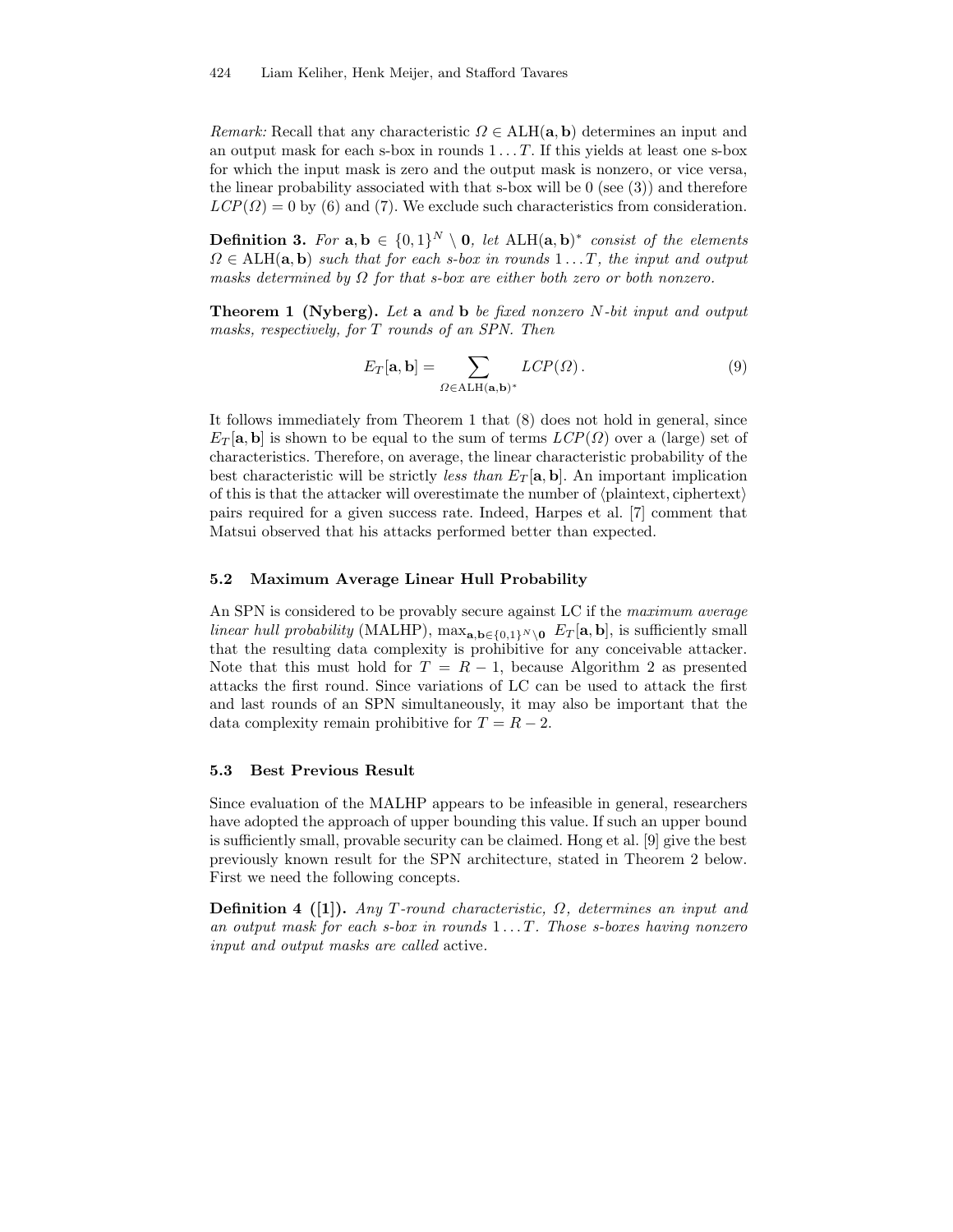Remark: Recall that any characteristic  $\Omega \in \text{ALH}(\mathbf{a}, \mathbf{b})$  determines an input and an output mask for each s-box in rounds  $1 \ldots T$ . If this yields at least one s-box for which the input mask is zero and the output mask is nonzero, or vice versa, the linear probability associated with that s-box will be  $0$  (see  $(3)$ ) and therefore  $LCP(\Omega) = 0$  by (6) and (7). We exclude such characteristics from consideration.

**Definition 3.** For  $\mathbf{a}, \mathbf{b} \in \{0,1\}^N \setminus \mathbf{0}$ , let  $\text{ALH}(\mathbf{a}, \mathbf{b})^*$  consist of the elements  $\Omega \in \text{ALH}(\mathbf{a}, \mathbf{b})$  such that for each s-box in rounds  $1 \dots T$ , the input and output masks determined by  $\Omega$  for that s-box are either both zero or both nonzero.

Theorem 1 (Nyberg). Let a and b be fixed nonzero N-bit input and output masks, respectively, for T rounds of an SPN. Then

$$
E_T[\mathbf{a}, \mathbf{b}] = \sum_{\Omega \in \text{ALH}(\mathbf{a}, \mathbf{b})^*} LCP(\Omega).
$$
 (9)

It follows immediately from Theorem 1 that (8) does not hold in general, since  $E_T[\mathbf{a}, \mathbf{b}]$  is shown to be equal to the sum of terms  $LCP(\Omega)$  over a (large) set of characteristics. Therefore, on average, the linear characteristic probability of the best characteristic will be strictly *less than*  $E_T[\mathbf{a}, \mathbf{b}]$ . An important implication of this is that the attacker will overestimate the number of  $\langle$  plaintext, ciphertext $\rangle$ pairs required for a given success rate. Indeed, Harpes et al. [7] comment that Matsui observed that his attacks performed better than expected.

#### 5.2 Maximum Average Linear Hull Probability

An SPN is considered to be provably secure against LC if the *maximum average* linear hull probability (MALHP),  $\max_{\mathbf{a},\mathbf{b}\in\{0,1\}^N\setminus\mathbf{0}} E_T[\mathbf{a},\mathbf{b}]$ , is sufficiently small that the resulting data complexity is prohibitive for any conceivable attacker. Note that this must hold for  $T = R - 1$ , because Algorithm 2 as presented attacks the first round. Since variations of LC can be used to attack the first and last rounds of an SPN simultaneously, it may also be important that the data complexity remain prohibitive for  $T = R - 2$ .

#### 5.3 Best Previous Result

Since evaluation of the MALHP appears to be infeasible in general, researchers have adopted the approach of upper bounding this value. If such an upper bound is sufficiently small, provable security can be claimed. Hong et al. [9] give the best previously known result for the SPN architecture, stated in Theorem 2 below. First we need the following concepts.

Definition 4 ([1]). Any T-round characteristic,  $\Omega$ , determines an input and an output mask for each s-box in rounds  $1 \ldots T$ . Those s-boxes having nonzero input and output masks are called active.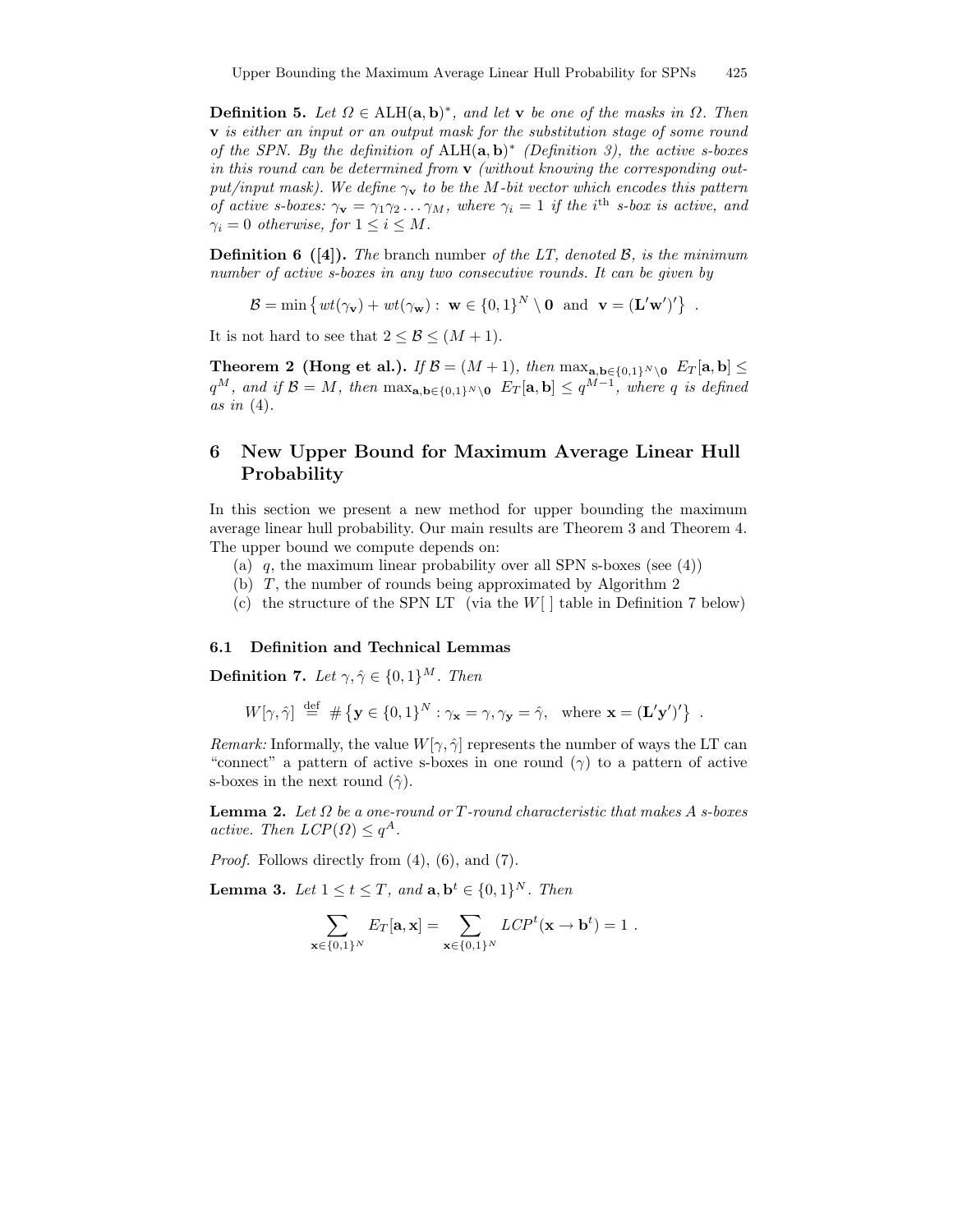**Definition 5.** Let  $\Omega \in \text{ALH}(\mathbf{a}, \mathbf{b})^*$ , and let **v** be one of the masks in  $\Omega$ . Then v is either an input or an output mask for the substitution stage of some round of the SPN. By the definition of  $\text{ALH}(\mathbf{a}, \mathbf{b})^*$  (Definition 3), the active s-boxes in this round can be determined from  $\bf{v}$  (without knowing the corresponding output/input mask). We define  $\gamma_{\mathbf{v}}$  to be the M-bit vector which encodes this pattern of active s-boxes:  $\gamma_{\mathbf{v}} = \gamma_1 \gamma_2 \ldots \gamma_M$ , where  $\gamma_i = 1$  if the i<sup>th</sup> s-box is active, and  $\gamma_i = 0$  otherwise, for  $1 \leq i \leq M$ .

**Definition 6** ([4]). The branch number of the LT, denoted  $\mathcal{B}$ , is the minimum number of active s-boxes in any two consecutive rounds. It can be given by

$$
\mathcal{B} = \min \left\{ wt(\gamma_{\mathbf{v}}) + wt(\gamma_{\mathbf{w}}) : \ \mathbf{w} \in \{0,1\}^N \setminus \mathbf{0} \ \text{and} \ \mathbf{v} = (\mathbf{L}'\mathbf{w}')' \right\} \ .
$$

It is not hard to see that  $2 \leq \mathcal{B} \leq (M+1)$ .

Theorem 2 (Hong et al.). If  $\mathcal{B} = (M + 1)$ , then  $\max_{\mathbf{a},\mathbf{b}\in\{0,1\}^N\setminus\mathbf{0}} E_T[\mathbf{a},\mathbf{b}] \leq$  $q^M$ , and if  $\mathcal{B} = M$ , then  $\max_{\mathbf{a},\mathbf{b}\in\{0,1\}^N\setminus\mathbf{0}} E_T[\mathbf{a},\mathbf{b}] \leq q^{M-1}$ , where q is defined as in  $(4)$ .

# 6 New Upper Bound for Maximum Average Linear Hull Probability

In this section we present a new method for upper bounding the maximum average linear hull probability. Our main results are Theorem 3 and Theorem 4. The upper bound we compute depends on:

- (a)  $q$ , the maximum linear probability over all SPN s-boxes (see  $(4)$ )
- (b) T, the number of rounds being approximated by Algorithm 2
- (c) the structure of the SPN LT (via the  $W[$  | table in Definition 7 below)

#### 6.1 Definition and Technical Lemmas

**Definition 7.** Let  $\gamma, \hat{\gamma} \in \{0, 1\}^M$ . Then

 $W[\gamma, \hat{\gamma}] \stackrel{\text{def}}{=} \# {\mathbf{y} \in \{0, 1\}^N : \gamma_{\mathbf{x}} = \gamma, \gamma_{\mathbf{y}} = \hat{\gamma}}, \text{ where } \mathbf{x} = (\mathbf{L}' \mathbf{y}')' }$ .

Remark: Informally, the value  $W[\gamma, \hat{\gamma}]$  represents the number of ways the LT can "connect" a pattern of active s-boxes in one round  $(\gamma)$  to a pattern of active s-boxes in the next round  $(\hat{\gamma})$ .

**Lemma 2.** Let  $\Omega$  be a one-round or  $T$ -round characteristic that makes  $A$  s-boxes active. Then  $LCP(\Omega) \leq q^A$ .

Proof. Follows directly from (4), (6), and (7).

**Lemma 3.** Let  $1 \le t \le T$ , and  $\mathbf{a}, \mathbf{b}^t \in \{0, 1\}^N$ . Then

$$
\sum_{\mathbf{x}\in\{0,1\}^N} E_T[\mathbf{a}, \mathbf{x}] = \sum_{\mathbf{x}\in\{0,1\}^N} LCP^t(\mathbf{x} \to \mathbf{b}^t) = 1.
$$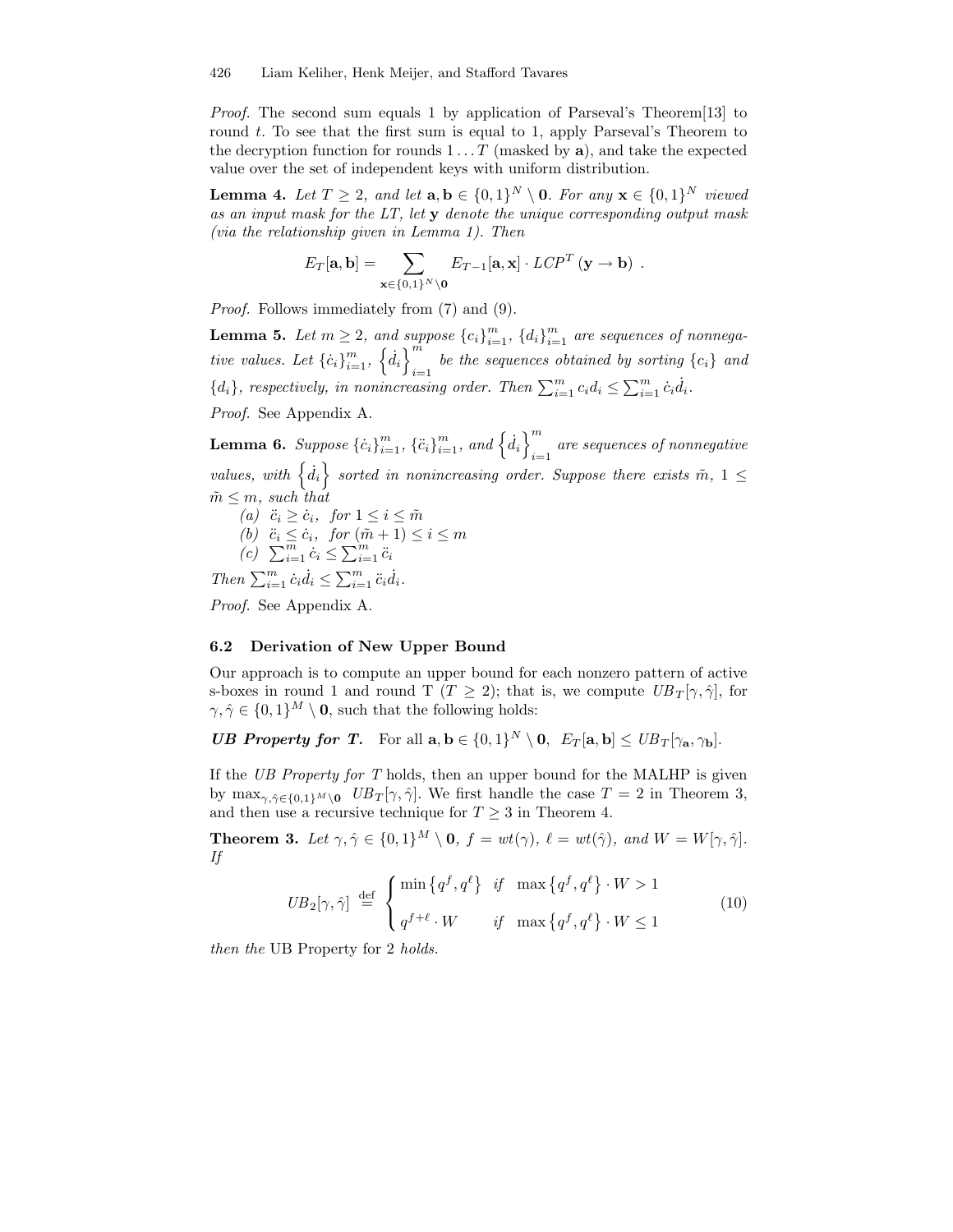Proof. The second sum equals 1 by application of Parseval's Theorem[13] to round  $t$ . To see that the first sum is equal to 1, apply Parseval's Theorem to the decryption function for rounds  $1 \ldots T$  (masked by a), and take the expected value over the set of independent keys with uniform distribution.

**Lemma 4.** Let  $T \geq 2$ , and let  $\mathbf{a}, \mathbf{b} \in \{0,1\}^N \setminus \mathbf{0}$ . For any  $\mathbf{x} \in \{0,1\}^N$  viewed as an input mask for the  $LT$ , let  $y$  denote the unique corresponding output mask (via the relationship given in Lemma 1). Then

$$
E_T[\mathbf{a},\mathbf{b}] = \sum_{\mathbf{x}\in\{0,1\}^N\setminus\mathbf{0}} E_{T-1}[\mathbf{a},\mathbf{x}] \cdot \text{LCP}^T(\mathbf{y}\to\mathbf{b})\ .
$$

Proof. Follows immediately from (7) and (9).

**Lemma 5.** Let  $m \geq 2$ , and suppose  ${c_i}_{i=1}^m$ ,  ${d_i}_{i=1}^m$  are sequences of nonnegative values. Let  $\{\dot{c}_i\}_{i=1}^m$ ,  $\{\dot{d}_i\}_{i=1}^m$ be the sequences obtained by sorting  $\{c_i\}$  and  ${d_i}$ , respectively, in nonincreasing order. Then  $\sum_{i=1}^{m} c_i d_i \leq \sum_{i=1}^{m} c_i d_i$ .

Proof. See Appendix A.

**Lemma 6.** Suppose  ${\{\dot{c}_i\}}_{i=1}^m$ ,  ${\{\ddot{c}_i\}}_{i=1}^m$ , and  ${\{\dot{d}_i\}}_{i=1}^m$ are sequences of nonnegative  $i=1$ values, with  $\{\dot{d}_i\}$  sorted in nonincreasing order. Suppose there exists  $\tilde{m}$ ,  $1 \leq$  $m \leq m$ , such that

(a)  $\ddot{c}_i \geq \dot{c}_i$ , for  $1 \leq i \leq \tilde{m}$ (b)  $\ddot{c}_i \leq \dot{c}_i$ , for  $(\tilde{m} + 1) \leq i \leq m$  $(c)$   $\sum_{i=1}^{m} c_i \leq \sum_{i=1}^{m} c_i$ 

Then  $\sum_{i=1}^m \dot{c}_i \dot{d}_i \leq \sum_{i=1}^m \ddot{c}_i \dot{d}_i$ .

Proof. See Appendix A.

### 6.2 Derivation of New Upper Bound

Our approach is to compute an upper bound for each nonzero pattern of active s-boxes in round 1 and round T ( $T \geq 2$ ); that is, we compute  $UB_T[\gamma, \hat{\gamma}]$ , for  $\gamma, \hat{\gamma} \in \{0, 1\}^M \setminus \mathbf{0}$ , such that the following holds:

**UB Property for T.** For all  $\mathbf{a}, \mathbf{b} \in \{0, 1\}^N \setminus \mathbf{0}, E_T[\mathbf{a}, \mathbf{b}] \leq U B_T[\gamma_\mathbf{a}, \gamma_\mathbf{b}].$ 

If the UB Property for T holds, then an upper bound for the MALHP is given by  $\max_{\gamma,\hat{\gamma}\in\{0,1\}^M\setminus\mathbf{0}}$   $UB_T[\gamma,\hat{\gamma}]$ . We first handle the case  $T=2$  in Theorem 3, and then use a recursive technique for  $T \geq 3$  in Theorem 4.

**Theorem 3.** Let  $\gamma, \hat{\gamma} \in \{0, 1\}^M \setminus \mathbf{0}, f = wt(\gamma), \ell = wt(\hat{\gamma}), and W = W[\gamma, \hat{\gamma}].$ If

$$
UB_2[\gamma, \hat{\gamma}] \stackrel{\text{def}}{=} \begin{cases} \min \{q^f, q^\ell\} & \text{if } \max \{q^f, q^\ell\} \cdot W > 1 \\ q^{f+\ell} \cdot W & \text{if } \max \{q^f, q^\ell\} \cdot W \le 1 \end{cases} \tag{10}
$$

then the UB Property for 2 holds.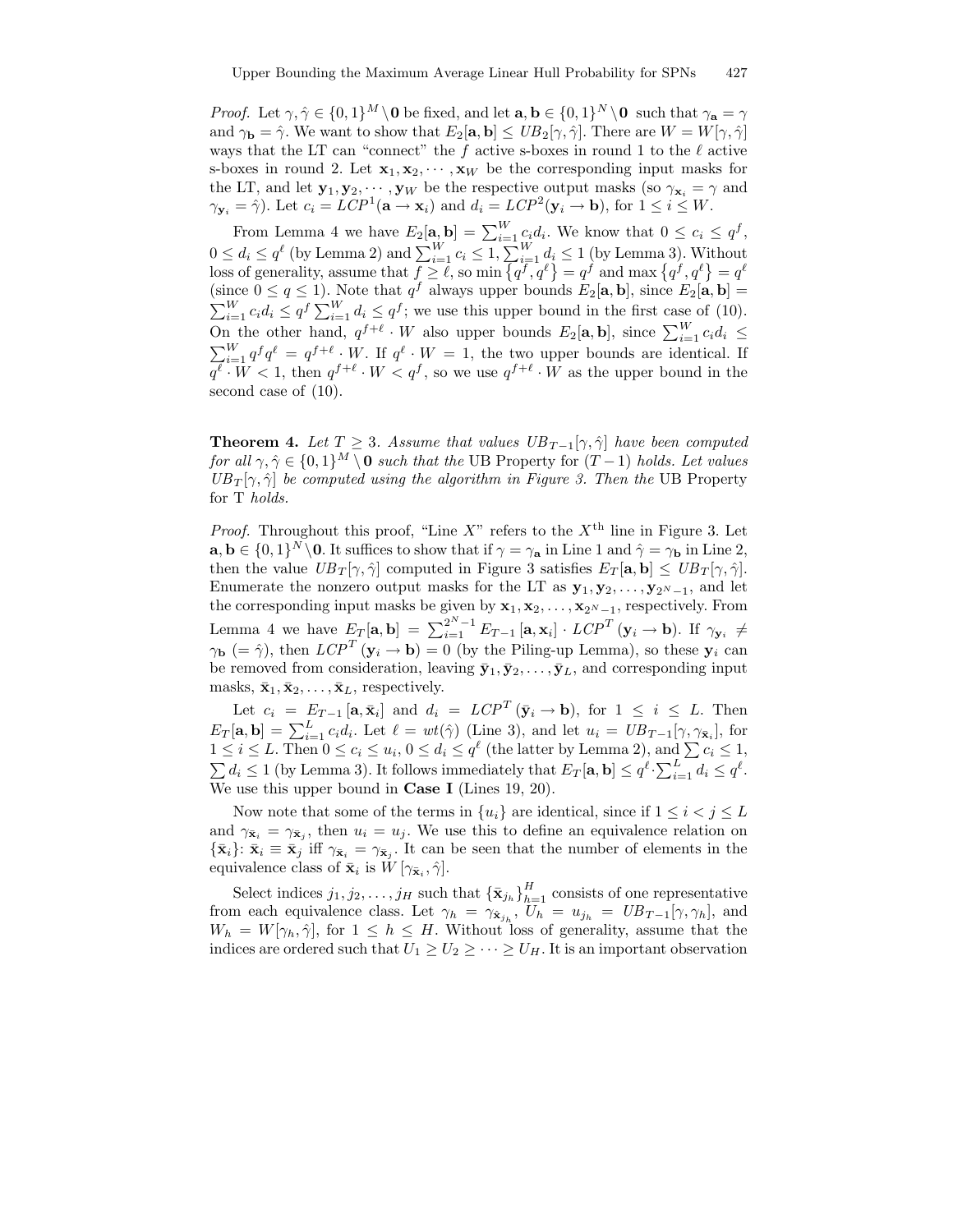*Proof.* Let  $\gamma, \hat{\gamma} \in \{0, 1\}^M \setminus \mathbf{0}$  be fixed, and let  $\mathbf{a}, \mathbf{b} \in \{0, 1\}^N \setminus \mathbf{0}$  such that  $\gamma_{\mathbf{a}} = \gamma$ and  $\gamma_{\mathbf{b}} = \hat{\gamma}$ . We want to show that  $E_2[\mathbf{a}, \mathbf{b}] \leq UB_2[\gamma, \hat{\gamma}]$ . There are  $W = W[\gamma, \hat{\gamma}]$ ways that the LT can "connect" the f active s-boxes in round 1 to the  $\ell$  active s-boxes in round 2. Let  $\mathbf{x}_1, \mathbf{x}_2, \cdots, \mathbf{x}_W$  be the corresponding input masks for the LT, and let  $\mathbf{y}_1, \mathbf{y}_2, \dots, \mathbf{y}_W$  be the respective output masks (so  $\gamma_{\mathbf{x}_i} = \gamma$  and  $\gamma_{\mathbf{y}_i} = \hat{\gamma}$ ). Let  $c_i = LCP^1(\mathbf{a} \to \mathbf{x}_i)$  and  $d_i = LCP^2(\mathbf{y}_i \to \mathbf{b})$ , for  $1 \le i \le W$ .

From Lemma 4 we have  $E_2[\mathbf{a}, \mathbf{b}] = \sum_{i=1}^{W} c_i d_i$ . We know that  $0 \leq c_i \leq q^f$ ,  $0 \leq d_i \leq q^{\ell}$  (by Lemma 2) and  $\sum_{i=1}^{W} c_i \leq 1$ ,  $\sum_{i=1}^{W} d_i \leq 1$  (by Lemma 3). Without loss of generality, assume that  $f \geq \ell$ , so min  $\{q^f, q^\ell\} = q^f$  and max  $\{q^f, q^\ell\} = q^\ell$ (since  $0 \le q \le 1$ ). Note that  $q^f$  always upper bounds  $E_2[\mathbf{a}, \mathbf{b}]$ , since  $E_2[\mathbf{a}, \mathbf{b}] =$  $\sum_{i=1}^{W} c_i d_i \leq q^f \sum_{i=1}^{W} d_i \leq q^f$ ; we use this upper bound in the first case of (10). On the other hand,  $q^{f+\ell} \cdot W$  also upper bounds  $E_2[\mathbf{a}, \mathbf{b}]$ , since  $\sum_{i=1}^W c_i d_i \leq$  $\sum_{i=1}^{W} q^f q^{\ell} = q^{f+\ell} \cdot W$ . If  $q^{\ell} \cdot W = 1$ , the two upper bounds are identical. If  $q^{\ell} \cdot W < 1$ , then  $q^{f+\ell} \cdot W < q^f$ , so we use  $q^{f+\ell} \cdot W$  as the upper bound in the second case of (10).

**Theorem 4.** Let  $T \geq 3$ . Assume that values  $UB_{T-1}[\gamma, \hat{\gamma}]$  have been computed for all  $\gamma, \hat{\gamma} \in \{0, 1\}^M \setminus 0$  such that the UB Property for  $(T - 1)$  holds. Let values  $UB_T[\gamma, \hat{\gamma}]$  be computed using the algorithm in Figure 3. Then the UB Property for T holds.

*Proof.* Throughout this proof, "Line X" refers to the  $X<sup>th</sup>$  line in Figure 3. Let  $\mathbf{a}, \mathbf{b} \in \{0,1\}^N \setminus \mathbf{0}$ . It suffices to show that if  $\gamma = \gamma_{\mathbf{a}}$  in Line 1 and  $\hat{\gamma} = \gamma_{\mathbf{b}}$  in Line 2, then the value  $UB_T[\gamma, \hat{\gamma}]$  computed in Figure 3 satisfies  $E_T[\mathbf{a}, \mathbf{b}] \leq UB_T[\gamma, \hat{\gamma}]$ . Enumerate the nonzero output masks for the LT as  $\mathbf{y}_1, \mathbf{y}_2, \ldots, \mathbf{y}_{2^N-1}$ , and let the corresponding input masks be given by  $x_1, x_2, \ldots, x_{2^N-1}$ , respectively. From Lemma 4 we have  $E_T[\mathbf{a}, \mathbf{b}] = \sum_{i=1}^{2^N-1} E_{T-1}[\mathbf{a}, \mathbf{x}_i] \cdot LCP^T(\mathbf{y}_i \to \mathbf{b})$ . If  $\gamma_{\mathbf{y}_i} \neq$  $\gamma_{\mathbf{b}}$  (=  $\hat{\gamma}$ ), then  $LCP^{T}$  ( $\mathbf{y}_{i} \to \mathbf{b}$ ) = 0 (by the Piling-up Lemma), so these  $\mathbf{y}_{i}$  can be removed from consideration, leaving  $\bar{\mathbf{y}}_1, \bar{\mathbf{y}}_2, \ldots, \bar{\mathbf{y}}_L$ , and corresponding input masks,  $\bar{\mathbf{x}}_1, \bar{\mathbf{x}}_2, \ldots, \bar{\mathbf{x}}_L$ , respectively.

Let  $c_i = E_{T-1} [\mathbf{a}, \bar{\mathbf{x}}_i]$  and  $d_i = LCP^T (\bar{\mathbf{y}}_i \to \mathbf{b})$ , for  $1 \le i \le L$ . Then  $E_T[\mathbf{a}, \mathbf{b}] = \sum_{i=1}^L c_i d_i$ . Let  $\ell = wt(\hat{\gamma})$  (Line 3), and let  $u_i = UB_{T-1}[\gamma, \gamma_{\bar{\mathbf{x}}_i}]$ , for  $1 \leq i \leq L$ . Then  $0 \leq c_i \leq u_i, 0 \leq d_i \leq q^{\ell}$  (the latter by Lemma 2), and  $\sum c_i \leq 1$ ,  $\sum d_i \leq 1$  (by Lemma 3). It follows immediately that  $E_T[\mathbf{a}, \mathbf{b}] \leq q^{\ell} \cdot \sum_{i=1}^L d_i \leq q^{\ell}$ . We use this upper bound in **Case I** (Lines 19, 20).

Now note that some of the terms in  $\{u_i\}$  are identical, since if  $1 \leq i < j \leq L$ and  $\gamma_{\bar{\mathbf{x}}_i} = \gamma_{\bar{\mathbf{x}}_j}$ , then  $u_i = u_j$ . We use this to define an equivalence relation on  ${\{\bar{\mathbf{x}}_i\}}: \bar{\mathbf{x}}_i \equiv \bar{\mathbf{x}}_j$  iff  $\gamma_{\bar{\mathbf{x}}_i} = \gamma_{\bar{\mathbf{x}}_j}$ . It can be seen that the number of elements in the equivalence class of  $\bar{\mathbf{x}}_i$  is  $W[\gamma_{\bar{\mathbf{x}}_i}, \hat{\gamma}].$ 

Select indices  $j_1, j_2, \ldots, j_H$  such that  ${\{\bar{\mathbf{x}}_{j_h}\}}_{h=1}^H$  consists of one representative from each equivalence class. Let  $\gamma_h = \gamma_{\hat{\mathbf{x}}_{j_h}}$ ,  $U_h = u_{j_h} = UB_{T-1}[\gamma, \gamma_h]$ , and  $W_h = W[\gamma_h, \hat{\gamma}],$  for  $1 \leq h \leq H$ . Without loss of generality, assume that the indices are ordered such that  $U_1 \geq U_2 \geq \cdots \geq U_H$ . It is an important observation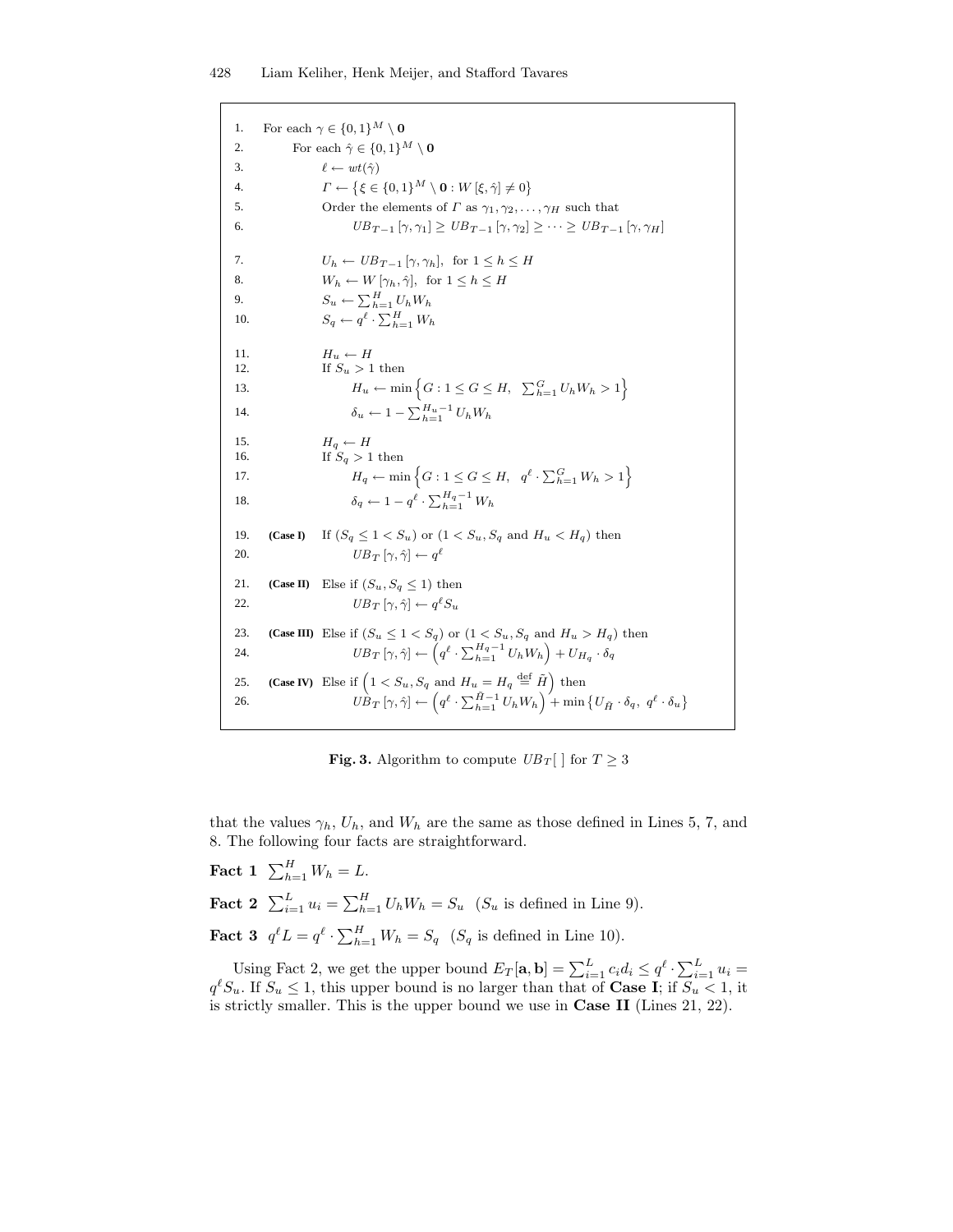1. 2. 3. 4. 5. 6. 7. 8. 9. 10. 11. 12. 13. 14. 15. 16. 17. 18. 19. 20. 21. 22. 23. 24. 25. 26. **(Case I) (Case II)** Else if  $(S_u, S_q \leq 1)$  then **(Case III)** Else if  $(S_u \leq 1 < S_q)$  or  $(1 < S_u, S_q$  and  $H_u > H_q)$  then **(Case IV)** Else if  $\left(1 < S_u, S_q \text{ and } H_u = H_q \stackrel{\text{def}}{=} \tilde{H}\right)$  then  $UB_{T-1} [\gamma, \gamma_1] \geq UB_{T-1} [\gamma, \gamma_2] \geq \cdots \geq UB_{T-1} [\gamma, \gamma_H]$ For each  $\gamma \in \{0,1\}^M \setminus \mathbf{0}$ For each  $\hat{\gamma} \in \{0,1\}^M \setminus \mathbf{0}$ Order the elements of  $\Gamma$  as  $\gamma_1, \gamma_2, \ldots, \gamma_H$  such that  $\Gamma \leftarrow {\{\xi \in \{0,1\}^M \setminus \mathbf{0} : W \left[\xi, \hat{\gamma}\right] \neq 0\}}$  $\ell \leftarrow wt(\hat{\gamma})$ If  $S_u > 1$  then  $H_u \leftarrow H$  $H_u \leftarrow \min \left\{ G : 1 \le G \le H, \sum_{h=1}^G U_h W_h > 1 \right\}$  $\delta_u \leftarrow 1 - \sum_{h=1}^{H_u-1} U_h W_h$  $H_q \leftarrow H$ If  $S_q > 1$  then  $\delta_q \leftarrow 1 - q^{\ell} \cdot \sum_{h=1}^{H_q-1} W_h$  $H_q \leftarrow \min \left\{ G : 1 \le G \le H, \ q^{\ell} \cdot \sum_{h=1}^G W_h > 1 \right\}$  $S_u \leftarrow \sum_{h=1}^H U_h W_h$  $W_h \leftarrow W[\gamma_h, \hat{\gamma}], \text{ for } 1 \leq h \leq H$  $U_h \leftarrow UB_{T-1} [\gamma, \gamma_h], \text{ for } 1 \leq h \leq H$  $UB_T[\gamma, \hat{\gamma}] \leftarrow \left(q^{\ell} \cdot \sum_{h=1}^{H_q-1} U_h W_h\right) + U_{H_q} \cdot \delta_q$  $S_q \leftarrow q^{\ell} \cdot \sum_{h=1}^{H} W_h$  $\overrightarrow{UB}_T [\gamma, \hat{\gamma}] \leftarrow \left( q^{\ell} \cdot \sum_{h=1}^{\tilde{H}-1} U_h W_h \right) + \min \left\{ U_{\tilde{H}} \cdot \delta_q, q^{\ell} \cdot \delta_u \right\}$ If  $(S_q \leq 1 < S_u)$  or  $(1 < S_u, S_q$  and  $H_u < H_q)$  then  $UB_T[\gamma, \hat{\gamma}] \leftarrow q^{\ell}$  $UB_T[\gamma, \hat{\gamma}] \leftarrow q^{\ell} S_u$ 

**Fig. 3.** Algorithm to compute  $UB_T[$  for  $T \geq 3$ 

that the values  $\gamma_h$ ,  $U_h$ , and  $W_h$  are the same as those defined in Lines 5, 7, and 8. The following four facts are straightforward.

**Fact** 1  $\sum_{h=1}^{H} W_h = L$ . **Fact 2**  $\sum_{i=1}^{L} u_i = \sum_{h=1}^{H} U_h W_h = S_u$  ( $S_u$  is defined in Line 9). **Fact 3**  $q^{\ell}L = q^{\ell} \cdot \sum_{h=1}^{H} W_h = S_q$  ( $S_q$  is defined in Line 10).

Using Fact 2, we get the upper bound  $E_T[\mathbf{a}, \mathbf{b}] = \sum_{i=1}^{L} c_i d_i \leq q^{\ell} \cdot \sum_{i=1}^{L} u_i =$  $q^{\ell}S_u$ . If  $S_u \leq 1$ , this upper bound is no larger than that of **Case I**; if  $S_u < 1$ , it is strictly smaller. This is the upper bound we use in Case II (Lines 21, 22).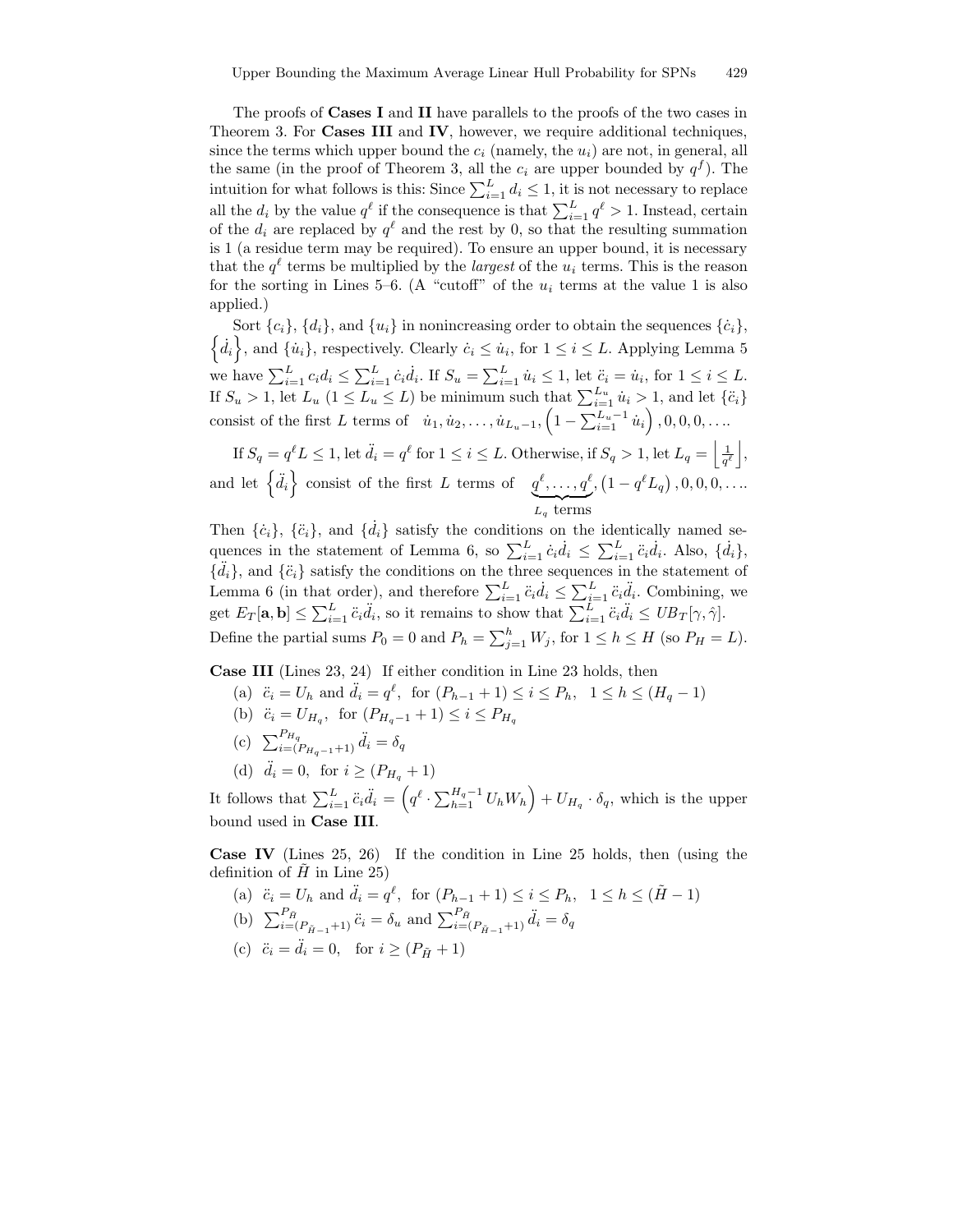The proofs of Cases I and II have parallels to the proofs of the two cases in Theorem 3. For **Cases III** and **IV**, however, we require additional techniques, since the terms which upper bound the  $c_i$  (namely, the  $u_i$ ) are not, in general, all the same (in the proof of Theorem 3, all the  $c_i$  are upper bounded by  $q^f$ ). The intuition for what follows is this: Since  $\sum_{i=1}^{L} d_i \leq 1$ , it is not necessary to replace all the  $d_i$  by the value  $q^{\ell}$  if the consequence is that  $\sum_{i=1}^{L} q^{\ell} > 1$ . Instead, certain of the  $d_i$  are replaced by  $q^{\ell}$  and the rest by 0, so that the resulting summation is 1 (a residue term may be required). To ensure an upper bound, it is necessary that the  $q^{\ell}$  terms be multiplied by the *largest* of the  $u_i$  terms. This is the reason for the sorting in Lines 5–6. (A "cutoff" of the  $u_i$  terms at the value 1 is also applied.)

Sort  $\{c_i\}$ ,  $\{d_i\}$ , and  $\{u_i\}$  in nonincreasing order to obtain the sequences  $\{\dot{c}_i\}$ ,  $d_i$ , and  $\{\dot{u}_i\}$ , respectively. Clearly  $\dot{c}_i \leq \dot{u}_i$ , for  $1 \leq i \leq L$ . Applying Lemma 5 we have  $\sum_{i=1}^{L} c_i d_i \leq \sum_{i=1}^{L} \dot{c}_i \dot{d}_i$ . If  $S_u = \sum_{i=1}^{L} \dot{u}_i \leq 1$ , let  $\ddot{c}_i = \dot{u}_i$ , for  $1 \leq i \leq L$ . If  $S_u > 1$ , let  $L_u$   $(1 \le L_u \le L)$  be minimum such that  $\sum_{i=1}^{L_u} u_i > 1$ , and let  $\{\ddot{c}_i\}$ consist of the first L terms of  $\dot{u}_1, \dot{u}_2, \dots, \dot{u}_{L_u-1}, \left(1 - \sum_{i=1}^{L_u-1} \dot{u}_i\right), 0, 0, 0, \dots$ 

If  $S_q = q^{\ell} L \leq 1$ , let  $\ddot{d}_i = q^{\ell}$  for  $1 \leq i \leq L$ . Otherwise, if  $S_q > 1$ , let  $L_q = \left| \frac{1}{q^{\ell}} \right|$ , and let  $\{\ddot{d}_i\}$  consist of the first L terms of  $q^{\ell}, \ldots, q^{\ell}$  $L_q$  terms  $, (1 - q^{\ell} L_q), 0, 0, 0, \ldots)$ 

Then  $\{\dot{c}_i\}$ ,  $\{\ddot{c}_i\}$ , and  $\{\dot{d}_i\}$  satisfy the conditions on the identically named sequences in the statement of Lemma 6, so  $\sum_{i=1}^{L} \dot{c}_i \dot{d}_i \leq \sum_{i=1}^{L} \ddot{c}_i \dot{d}_i$ . Also,  $\{\dot{d}_i\}$ ,  $\{\ddot{d}_i\}$ , and  $\{\ddot{c}_i\}$  satisfy the conditions on the three sequences in the statement of Lemma 6 (in that order), and therefore  $\sum_{i=1}^{L} \ddot{c}_i \dot{d}_i \leq \sum_{i=1}^{L} \ddot{c}_i \ddot{d}_i$ . Combining, we get  $E_T[\mathbf{a}, \mathbf{b}] \leq \sum_{i=1}^L \ddot{c}_i \ddot{d}_i$ , so it remains to show that  $\sum_{i=1}^L \ddot{c}_i \ddot{d}_i \leq UB_T[\gamma, \hat{\gamma}].$ Define the partial sums  $P_0 = 0$  and  $P_h = \sum_{j=1}^h W_j$ , for  $1 \le h \le H$  (so  $P_H = L$ ).

Case III (Lines 23, 24) If either condition in Line 23 holds, then

- (a)  $\ddot{c}_i = U_h$  and  $\ddot{d}_i = q^{\ell}$ , for  $(P_{h-1} + 1) \leq i \leq P_h$ ,  $1 \leq h \leq (H_q 1)$
- (b)  $\ddot{c}_i = U_{H_q}$ , for  $(P_{H_q-1} + 1) \leq i \leq P_{H_q}$
- (c)  $\sum_{i=(P_{H_q-1}+1)}^{P_{H_q}} \ddot{d}_i = \delta_q$
- (d)  $\ddot{d}_i = 0$ , for  $i \geq (P_{H_a} + 1)$

It follows that  $\sum_{i=1}^L \ddot{c}_i \ddot{d}_i = \left(q^\ell \cdot \sum_{h=1}^{H_q-1} U_h W_h\right) + U_{H_q} \cdot \delta_q$ , which is the upper bound used in Case III.

Case IV (Lines 25, 26) If the condition in Line 25 holds, then (using the definition of  $\hat{H}$  in Line 25)

- (a)  $\ddot{c}_i = U_h$  and  $\ddot{d}_i = q^{\ell}$ , for  $(P_{h-1} + 1) \le i \le P_h$ ,  $1 \le h \le (\tilde{H} 1)$
- (b)  $\sum_{i=(P_{\tilde{H}-1}+1)}^{P_{\tilde{H}}} \ddot{c}_i = \delta_u$  and  $\sum_{i=(P_{\tilde{H}-1}+1)}^{P_{\tilde{H}}} \ddot{d}_i = \delta_q$
- (c)  $\ddot{c}_i = \ddot{d}_i = 0$ , for  $i \geq (P_{\tilde{H}} + 1)$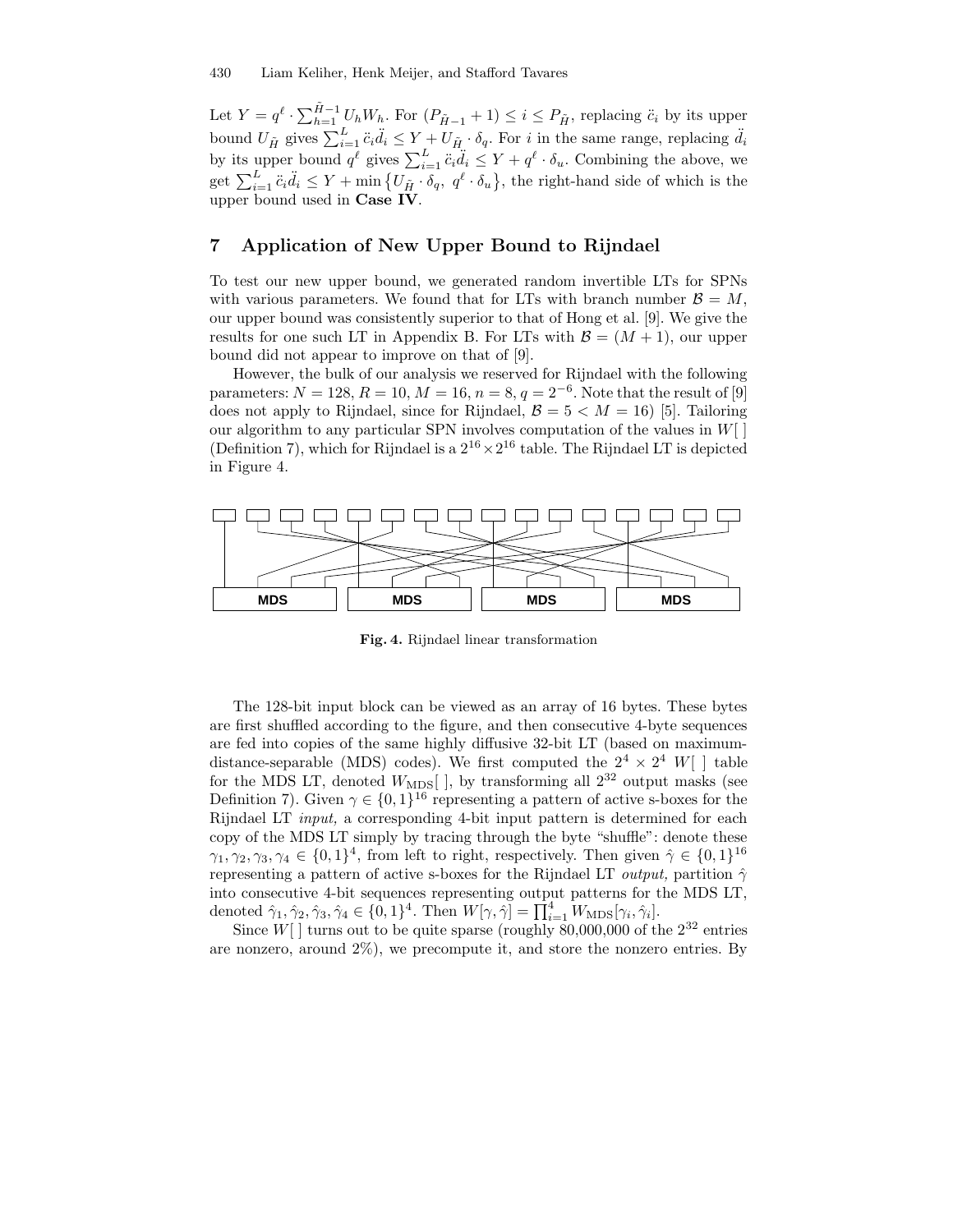Let  $Y = q^{\ell} \cdot \sum_{h=1}^{\tilde{H}-1} U_h W_h$ . For  $(P_{\tilde{H}-1} + 1) \leq i \leq P_{\tilde{H}}$ , replacing  $\ddot{c}_i$  by its upper bound  $U_{\tilde{H}}$  gives  $\sum_{i=1}^{L} \ddot{c}_i \ddot{d}_i \leq Y + U_{\tilde{H}} \cdot \delta_q$ . For i in the same range, replacing  $\ddot{d}_i$ by its upper bound  $q^{\ell}$  gives  $\sum_{i=1}^{L} \ddot{c}_i \ddot{d}_i \leq Y + q^{\ell} \cdot \delta_u$ . Combining the above, we get  $\sum_{i=1}^L \ddot{c}_i \ddot{d}_i \le Y + \min \{ U_{\tilde{H}} \cdot \delta_q, q^{\ell} \cdot \delta_u \},$  the right-hand side of which is the upper bound used in Case IV.

## 7 Application of New Upper Bound to Rijndael

To test our new upper bound, we generated random invertible LTs for SPNs with various parameters. We found that for LTs with branch number  $\mathcal{B} = M$ , our upper bound was consistently superior to that of Hong et al. [9]. We give the results for one such LT in Appendix B. For LTs with  $\mathcal{B} = (M + 1)$ , our upper bound did not appear to improve on that of [9].

However, the bulk of our analysis we reserved for Rijndael with the following parameters:  $N = 128, R = 10, M = 16, n = 8, q = 2^{-6}$ . Note that the result of [9] does not apply to Rijndael, since for Rijndael,  $\mathcal{B} = 5 < M = 16$  [5]. Tailoring our algorithm to any particular SPN involves computation of the values in  $W[$ (Definition 7), which for Rijndael is a  $2^{16} \times 2^{16}$  table. The Rijndael LT is depicted in Figure 4.



Fig. 4. Rijndael linear transformation

The 128-bit input block can be viewed as an array of 16 bytes. These bytes are first shuffled according to the figure, and then consecutive 4-byte sequences are fed into copies of the same highly diffusive 32-bit LT (based on maximumdistance-separable (MDS) codes). We first computed the  $2^4 \times 2^4$  W[ ] table for the MDS LT, denoted  $W_{\text{MDS}}[$  ], by transforming all  $2^{32}$  output masks (see Definition 7). Given  $\gamma \in \{0,1\}^{16}$  representing a pattern of active s-boxes for the Rijndael LT input, a corresponding 4-bit input pattern is determined for each copy of the MDS LT simply by tracing through the byte "shuffle": denote these  $\gamma_1, \gamma_2, \gamma_3, \gamma_4 \in \{0, 1\}^4$ , from left to right, respectively. Then given  $\hat{\gamma} \in \{0, 1\}^{16}$ representing a pattern of active s-boxes for the Rijndael LT *output*, partition  $\hat{\gamma}$ into consecutive 4-bit sequences representing output patterns for the MDS LT, denoted  $\hat{\gamma}_1, \hat{\gamma}_2, \hat{\gamma}_3, \hat{\gamma}_4 \in \{0, 1\}^4$ . Then  $W[\gamma, \hat{\gamma}] = \prod_{i=1}^4 W_{\text{MDS}}[\gamma_i, \hat{\gamma}_i]$ .

Since  $W[$ ] turns out to be quite sparse (roughly 80,000,000 of the  $2^{32}$  entries are nonzero, around  $2\%$ ), we precompute it, and store the nonzero entries. By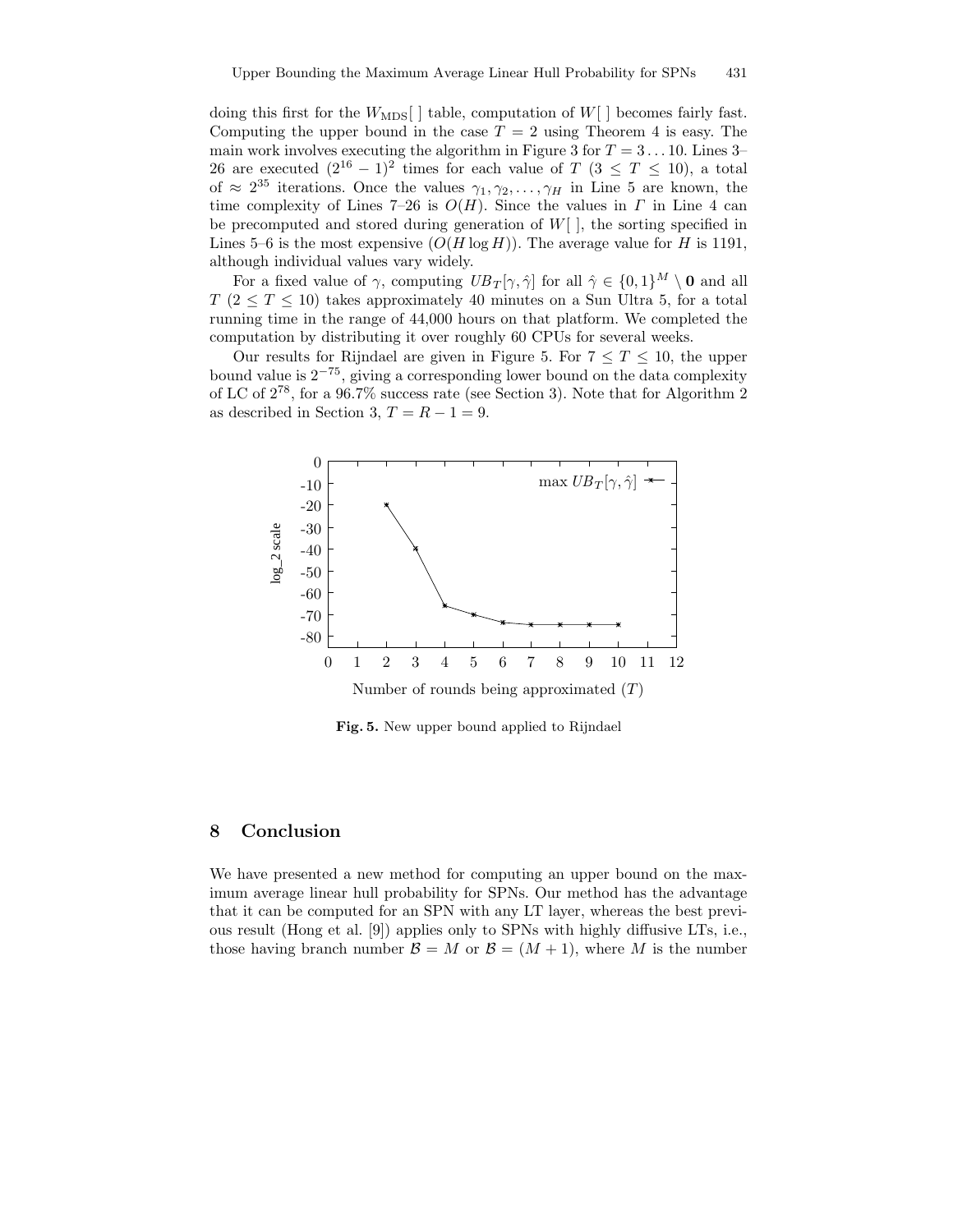doing this first for the  $W_{\text{MDS}}$  | table, computation of  $W$ | becomes fairly fast. Computing the upper bound in the case  $T = 2$  using Theorem 4 is easy. The main work involves executing the algorithm in Figure 3 for  $T = 3 \dots 10$ . Lines 3– 26 are executed  $(2^{16} - 1)^2$  times for each value of  $T$   $(3 \leq T \leq 10)$ , a total of  $\approx 2^{35}$  iterations. Once the values  $\gamma_1, \gamma_2, \ldots, \gamma_H$  in Line 5 are known, the time complexity of Lines 7–26 is  $O(H)$ . Since the values in  $\Gamma$  in Line 4 can be precomputed and stored during generation of  $W[\ ]$ , the sorting specified in Lines 5–6 is the most expensive  $(O(H \log H))$ . The average value for H is 1191, although individual values vary widely.

For a fixed value of  $\gamma$ , computing  $UB_T[\gamma, \hat{\gamma}]$  for all  $\hat{\gamma} \in \{0, 1\}^M \setminus \mathbf{0}$  and all  $T (2 \leq T \leq 10)$  takes approximately 40 minutes on a Sun Ultra 5, for a total running time in the range of 44,000 hours on that platform. We completed the computation by distributing it over roughly 60 CPUs for several weeks.

Our results for Rijndael are given in Figure 5. For  $7 \leq T \leq 10$ , the upper bound value is  $2^{-75}$ , giving a corresponding lower bound on the data complexity of LC of 2 78 , for a 96.7% success rate (see Section 3). Note that for Algorithm 2 as described in Section 3,  $T = R - 1 = 9$ .



Fig. 5. New upper bound applied to Rijndael

# 8 Conclusion

We have presented a new method for computing an upper bound on the maximum average linear hull probability for SPNs. Our method has the advantage that it can be computed for an SPN with any LT layer, whereas the best previous result (Hong et al. [9]) applies only to SPNs with highly diffusive LTs, i.e., those having branch number  $\mathcal{B} = M$  or  $\mathcal{B} = (M + 1)$ , where M is the number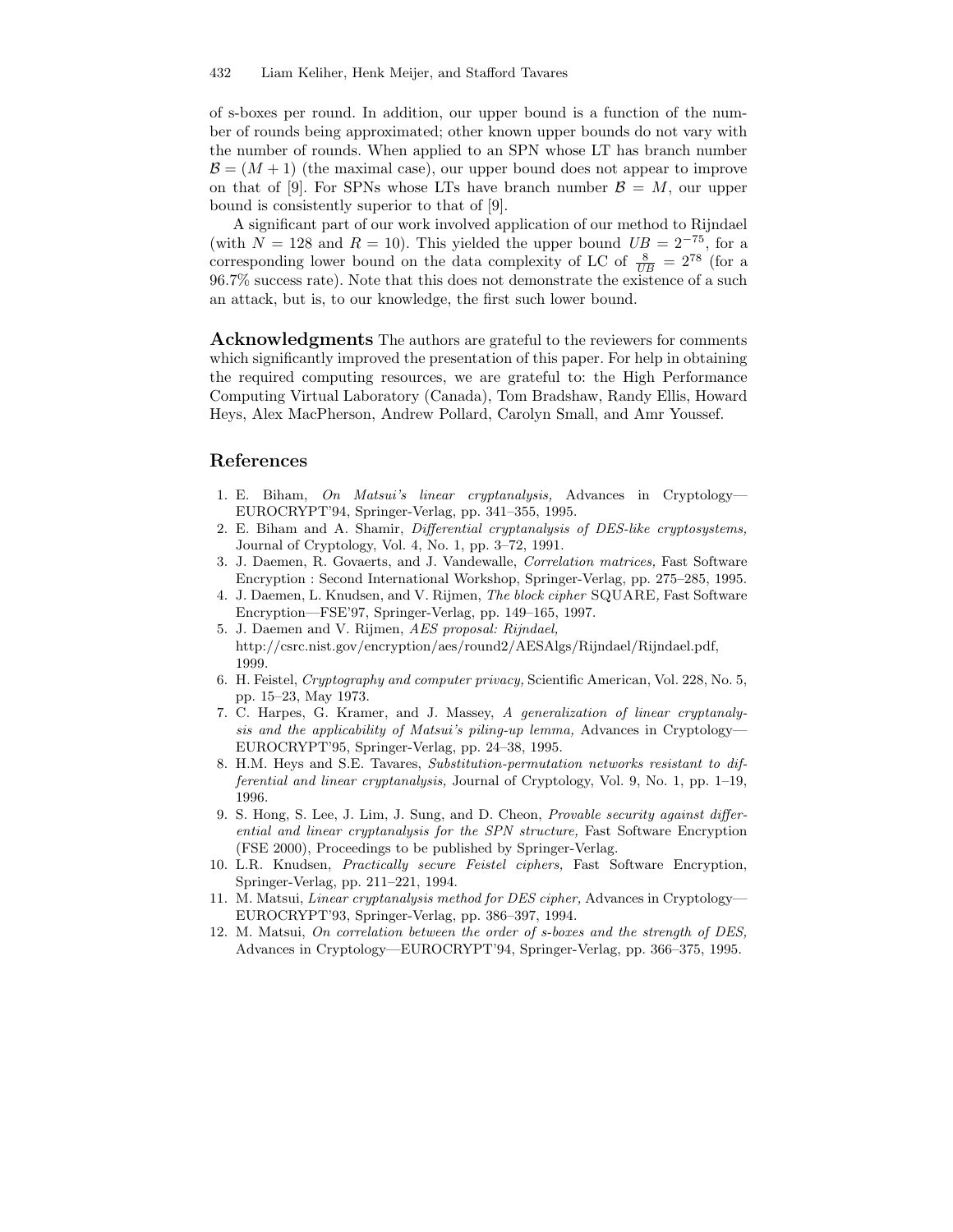of s-boxes per round. In addition, our upper bound is a function of the number of rounds being approximated; other known upper bounds do not vary with the number of rounds. When applied to an SPN whose LT has branch number  $\mathcal{B} = (M + 1)$  (the maximal case), our upper bound does not appear to improve on that of [9]. For SPNs whose LTs have branch number  $\mathcal{B} = M$ , our upper bound is consistently superior to that of [9].

A significant part of our work involved application of our method to Rijndael (with  $N = 128$  and  $R = 10$ ). This yielded the upper bound  $UB = 2^{-75}$ , for a corresponding lower bound on the data complexity of LC of  $\frac{8}{UB} = 2^{78}$  (for a 96.7% success rate). Note that this does not demonstrate the existence of a such an attack, but is, to our knowledge, the first such lower bound.

Acknowledgments The authors are grateful to the reviewers for comments which significantly improved the presentation of this paper. For help in obtaining the required computing resources, we are grateful to: the High Performance Computing Virtual Laboratory (Canada), Tom Bradshaw, Randy Ellis, Howard Heys, Alex MacPherson, Andrew Pollard, Carolyn Small, and Amr Youssef.

# References

- 1. E. Biham, On Matsui's linear cryptanalysis, Advances in Cryptology— EUROCRYPT'94, Springer-Verlag, pp. 341–355, 1995.
- 2. E. Biham and A. Shamir, Differential cryptanalysis of DES-like cryptosystems, Journal of Cryptology, Vol. 4, No. 1, pp. 3–72, 1991.
- 3. J. Daemen, R. Govaerts, and J. Vandewalle, Correlation matrices, Fast Software Encryption : Second International Workshop, Springer-Verlag, pp. 275–285, 1995.
- 4. J. Daemen, L. Knudsen, and V. Rijmen, The block cipher SQUARE, Fast Software Encryption—FSE'97, Springer-Verlag, pp. 149–165, 1997.
- 5. J. Daemen and V. Rijmen, AES proposal: Rijndael, http://csrc.nist.gov/encryption/aes/round2/AESAlgs/Rijndael/Rijndael.pdf, 1999.
- 6. H. Feistel, Cryptography and computer privacy, Scientific American, Vol. 228, No. 5, pp. 15–23, May 1973.
- 7. C. Harpes, G. Kramer, and J. Massey, A generalization of linear cryptanalysis and the applicability of Matsui's piling-up lemma, Advances in Cryptology— EUROCRYPT'95, Springer-Verlag, pp. 24–38, 1995.
- 8. H.M. Heys and S.E. Tavares, Substitution-permutation networks resistant to differential and linear cryptanalysis, Journal of Cryptology, Vol. 9, No. 1, pp. 1–19, 1996.
- 9. S. Hong, S. Lee, J. Lim, J. Sung, and D. Cheon, Provable security against differential and linear cryptanalysis for the SPN structure, Fast Software Encryption (FSE 2000), Proceedings to be published by Springer-Verlag.
- 10. L.R. Knudsen, Practically secure Feistel ciphers, Fast Software Encryption, Springer-Verlag, pp. 211–221, 1994.
- 11. M. Matsui, Linear cryptanalysis method for DES cipher, Advances in Cryptology— EUROCRYPT'93, Springer-Verlag, pp. 386–397, 1994.
- 12. M. Matsui, On correlation between the order of s-boxes and the strength of DES, Advances in Cryptology—EUROCRYPT'94, Springer-Verlag, pp. 366–375, 1995.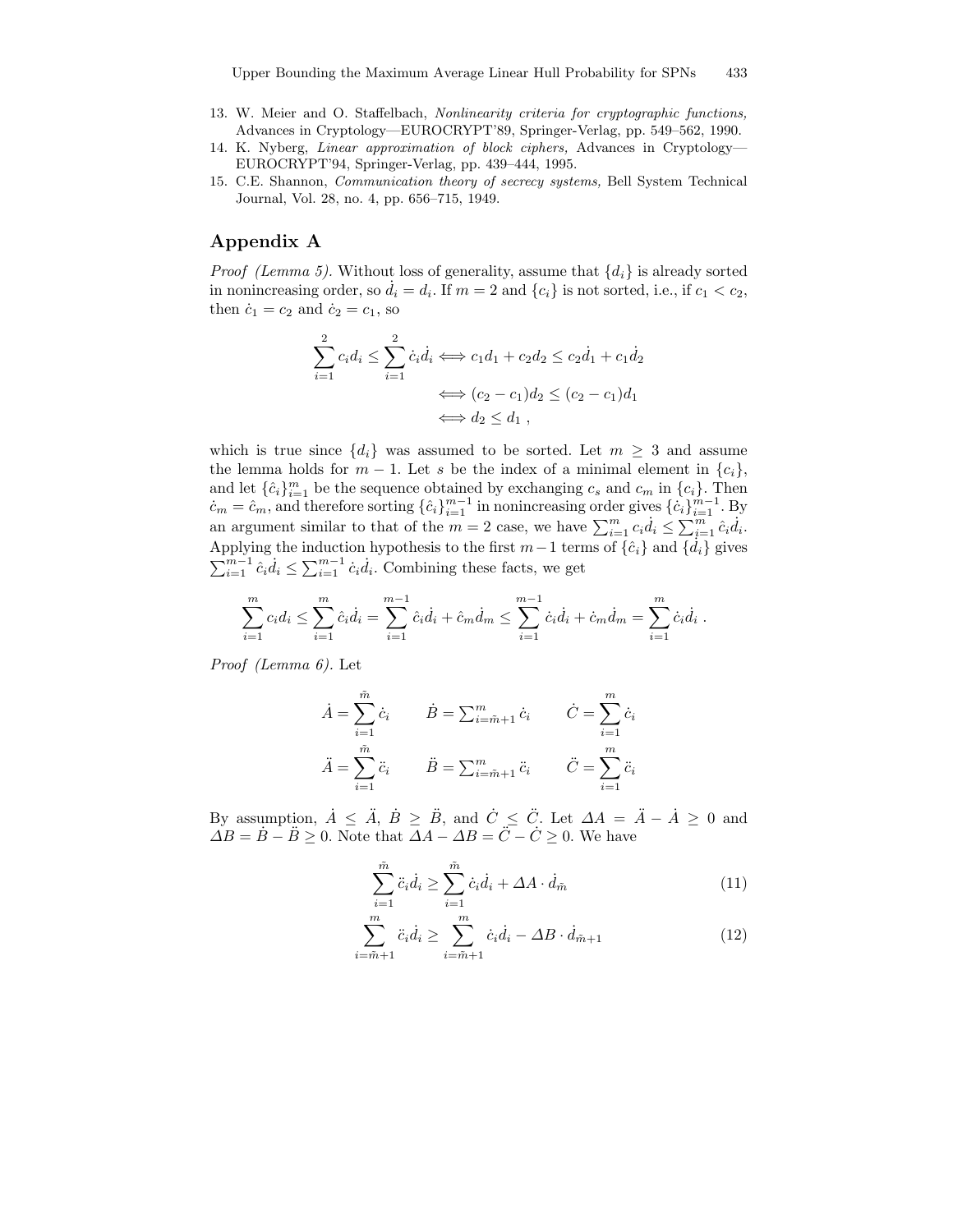- 13. W. Meier and O. Staffelbach, Nonlinearity criteria for cryptographic functions, Advances in Cryptology—EUROCRYPT'89, Springer-Verlag, pp. 549–562, 1990.
- 14. K. Nyberg, Linear approximation of block ciphers, Advances in Cryptology— EUROCRYPT'94, Springer-Verlag, pp. 439–444, 1995.
- 15. C.E. Shannon, Communication theory of secrecy systems, Bell System Technical Journal, Vol. 28, no. 4, pp. 656–715, 1949.

# Appendix A

*Proof (Lemma 5).* Without loss of generality, assume that  $\{d_i\}$  is already sorted in nonincreasing order, so  $\dot{d}_i = d_i$ . If  $m = 2$  and  $\{c_i\}$  is not sorted, i.e., if  $c_1 < c_2$ , then  $\dot{c}_1 = c_2$  and  $\dot{c}_2 = c_1$ , so

$$
\sum_{i=1}^{2} c_i d_i \le \sum_{i=1}^{2} \dot{c}_i \dot{d}_i \iff c_1 d_1 + c_2 d_2 \le c_2 \dot{d}_1 + c_1 \dot{d}_2
$$

$$
\iff (c_2 - c_1) d_2 \le (c_2 - c_1) d_1
$$

$$
\iff d_2 \le d_1,
$$

which is true since  $\{d_i\}$  was assumed to be sorted. Let  $m \geq 3$  and assume the lemma holds for  $m-1$ . Let s be the index of a minimal element in  $\{c_i\}$ , and let  $\{\hat{c}_i\}_{i=1}^m$  be the sequence obtained by exchanging  $c_s$  and  $c_m$  in  $\{c_i\}$ . Then  $c_m = \hat{c}_m$ , and therefore sorting  $\{\hat{c}_i\}_{i=1}^{m-1}$  in nonincreasing order gives  $\{\hat{c}_i\}_{i=1}^{m-1}$ . By an argument similar to that of the  $m=2$  case, we have  $\sum_{i=1}^{m} c_i d_i \leq \sum_{i=1}^{m} \hat{c}_i d_i$ . Applying the induction hypothesis to the first  $m-1$  terms of  $\{\hat{c}_i\}$  and  $\{\hat{d}_i\}$  gives  $\sum_{i=1}^{m-1} \hat{c}_i \dot{d}_i \le \sum_{i=1}^{m-1} \dot{c}_i \dot{d}_i$ . Combining these facts, we get

$$
\sum_{i=1}^{m} c_i d_i \le \sum_{i=1}^{m} \hat{c}_i \dot{d}_i = \sum_{i=1}^{m-1} \hat{c}_i \dot{d}_i + \hat{c}_m \dot{d}_m \le \sum_{i=1}^{m-1} \hat{c}_i \dot{d}_i + \hat{c}_m \dot{d}_m = \sum_{i=1}^{m} \hat{c}_i \dot{d}_i.
$$

Proof (Lemma 6). Let

$$
\dot{A} = \sum_{i=1}^{\tilde{m}} \dot{c}_i \qquad \dot{B} = \sum_{i=\tilde{m}+1}^{m} \dot{c}_i \qquad \dot{C} = \sum_{i=1}^{m} \dot{c}_i
$$

$$
\ddot{A} = \sum_{i=1}^{\tilde{m}} \ddot{c}_i \qquad \ddot{B} = \sum_{i=\tilde{m}+1}^{m} \ddot{c}_i \qquad \ddot{C} = \sum_{i=1}^{m} \ddot{c}_i
$$

By assumption,  $\dot{A} \leq \ddot{A}$ ,  $\dot{B} \geq \ddot{B}$ , and  $\dot{C} \leq \ddot{C}$ . Let  $\Delta A = \ddot{A} - \dot{A} \geq 0$  and  $\Delta B = \dot{B} - \ddot{B} \ge 0$ . Note that  $\Delta A - \Delta B = \ddot{C} - \dot{C} \ge 0$ . We have

$$
\sum_{i=1}^{\tilde{m}} \ddot{c}_i \dot{d}_i \ge \sum_{i=1}^{\tilde{m}} \dot{c}_i \dot{d}_i + \Delta A \cdot \dot{d}_{\tilde{m}} \tag{11}
$$

$$
\sum_{i=\tilde{m}+1}^{m} \ddot{c}_i \dot{d}_i \ge \sum_{i=\tilde{m}+1}^{m} \dot{c}_i \dot{d}_i - \Delta B \cdot \dot{d}_{\tilde{m}+1} \tag{12}
$$